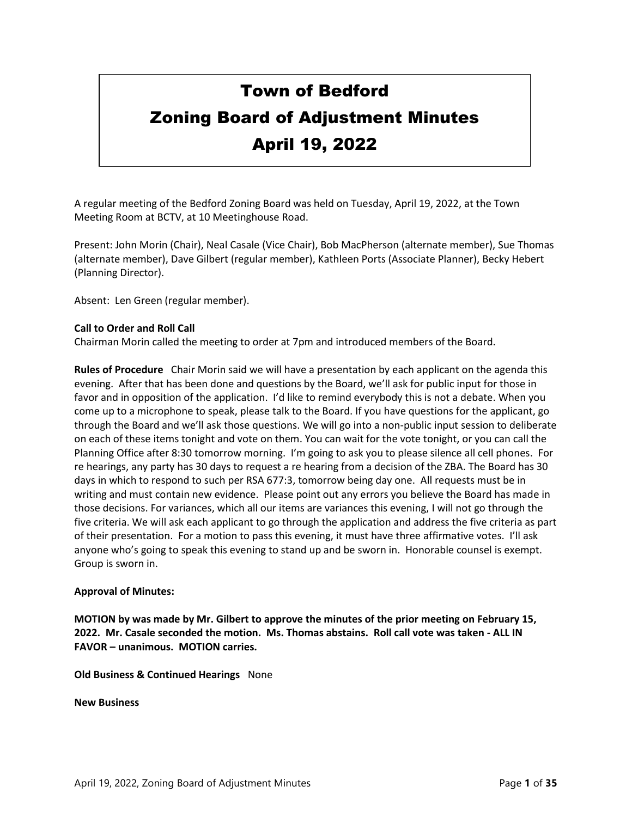# Town of Bedford Zoning Board of Adjustment Minutes April 19, 2022

# A regular meeting of the Bedford Zoning Board was held on Tuesday, April 19, 2022, at the Town

Present: John Morin (Chair), Neal Casale (Vice Chair), Bob MacPherson (alternate member), Sue Thomas (alternate member), Dave Gilbert (regular member), Kathleen Ports (Associate Planner), Becky Hebert (Planning Director).

Absent: Len Green (regular member).

Meeting Room at BCTV, at 10 Meetinghouse Road.

# **Call to Order and Roll Call**

Chairman Morin called the meeting to order at 7pm and introduced members of the Board.

**Rules of Procedure** Chair Morin said we will have a presentation by each applicant on the agenda this evening. After that has been done and questions by the Board, we'll ask for public input for those in favor and in opposition of the application. I'd like to remind everybody this is not a debate. When you come up to a microphone to speak, please talk to the Board. If you have questions for the applicant, go through the Board and we'll ask those questions. We will go into a non-public input session to deliberate on each of these items tonight and vote on them. You can wait for the vote tonight, or you can call the Planning Office after 8:30 tomorrow morning. I'm going to ask you to please silence all cell phones. For re hearings, any party has 30 days to request a re hearing from a decision of the ZBA. The Board has 30 days in which to respond to such per RSA 677:3, tomorrow being day one. All requests must be in writing and must contain new evidence. Please point out any errors you believe the Board has made in those decisions. For variances, which all our items are variances this evening, I will not go through the five criteria. We will ask each applicant to go through the application and address the five criteria as part of their presentation. For a motion to pass this evening, it must have three affirmative votes. I'll ask anyone who's going to speak this evening to stand up and be sworn in. Honorable counsel is exempt. Group is sworn in.

# **Approval of Minutes:**

**MOTION by was made by Mr. Gilbert to approve the minutes of the prior meeting on February 15, 2022. Mr. Casale seconded the motion. Ms. Thomas abstains. Roll call vote was taken - ALL IN FAVOR – unanimous. MOTION carries.**

**Old Business & Continued Hearings** None

**New Business**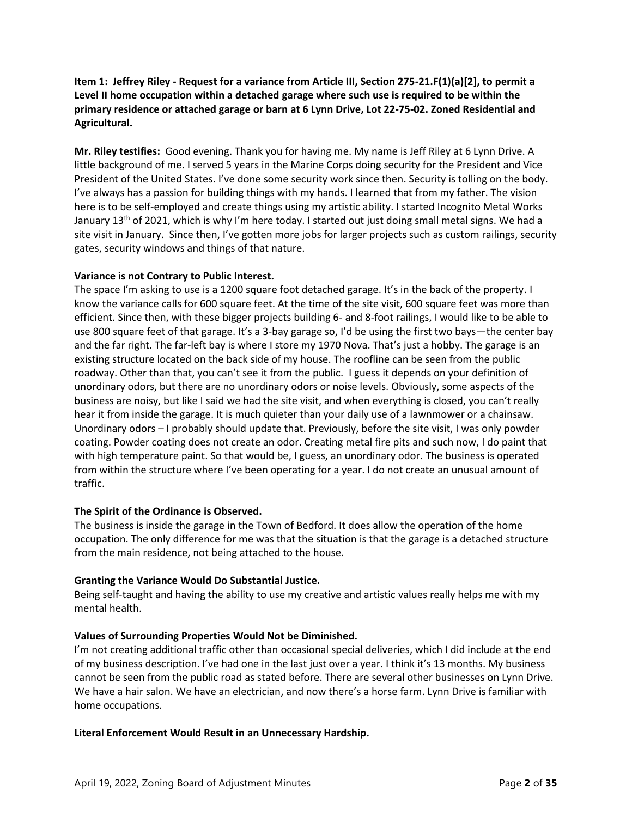# **Item 1: Jeffrey Riley - Request for a variance from Article III, Section 275-21.F(1)(a)[2], to permit a Level II home occupation within a detached garage where such use is required to be within the primary residence or attached garage or barn at 6 Lynn Drive, Lot 22-75-02. Zoned Residential and Agricultural.**

**Mr. Riley testifies:** Good evening. Thank you for having me. My name is Jeff Riley at 6 Lynn Drive. A little background of me. I served 5 years in the Marine Corps doing security for the President and Vice President of the United States. I've done some security work since then. Security is tolling on the body. I've always has a passion for building things with my hands. I learned that from my father. The vision here is to be self-employed and create things using my artistic ability. I started Incognito Metal Works January 13<sup>th</sup> of 2021, which is why I'm here today. I started out just doing small metal signs. We had a site visit in January. Since then, I've gotten more jobs for larger projects such as custom railings, security gates, security windows and things of that nature.

# **Variance is not Contrary to Public Interest.**

The space I'm asking to use is a 1200 square foot detached garage. It's in the back of the property. I know the variance calls for 600 square feet. At the time of the site visit, 600 square feet was more than efficient. Since then, with these bigger projects building 6- and 8-foot railings, I would like to be able to use 800 square feet of that garage. It's a 3-bay garage so, I'd be using the first two bays—the center bay and the far right. The far-left bay is where I store my 1970 Nova. That's just a hobby. The garage is an existing structure located on the back side of my house. The roofline can be seen from the public roadway. Other than that, you can't see it from the public. I guess it depends on your definition of unordinary odors, but there are no unordinary odors or noise levels. Obviously, some aspects of the business are noisy, but like I said we had the site visit, and when everything is closed, you can't really hear it from inside the garage. It is much quieter than your daily use of a lawnmower or a chainsaw. Unordinary odors – I probably should update that. Previously, before the site visit, I was only powder coating. Powder coating does not create an odor. Creating metal fire pits and such now, I do paint that with high temperature paint. So that would be, I guess, an unordinary odor. The business is operated from within the structure where I've been operating for a year. I do not create an unusual amount of traffic.

# **The Spirit of the Ordinance is Observed.**

The business is inside the garage in the Town of Bedford. It does allow the operation of the home occupation. The only difference for me was that the situation is that the garage is a detached structure from the main residence, not being attached to the house.

# **Granting the Variance Would Do Substantial Justice.**

Being self-taught and having the ability to use my creative and artistic values really helps me with my mental health.

# **Values of Surrounding Properties Would Not be Diminished.**

I'm not creating additional traffic other than occasional special deliveries, which I did include at the end of my business description. I've had one in the last just over a year. I think it's 13 months. My business cannot be seen from the public road as stated before. There are several other businesses on Lynn Drive. We have a hair salon. We have an electrician, and now there's a horse farm. Lynn Drive is familiar with home occupations.

# **Literal Enforcement Would Result in an Unnecessary Hardship.**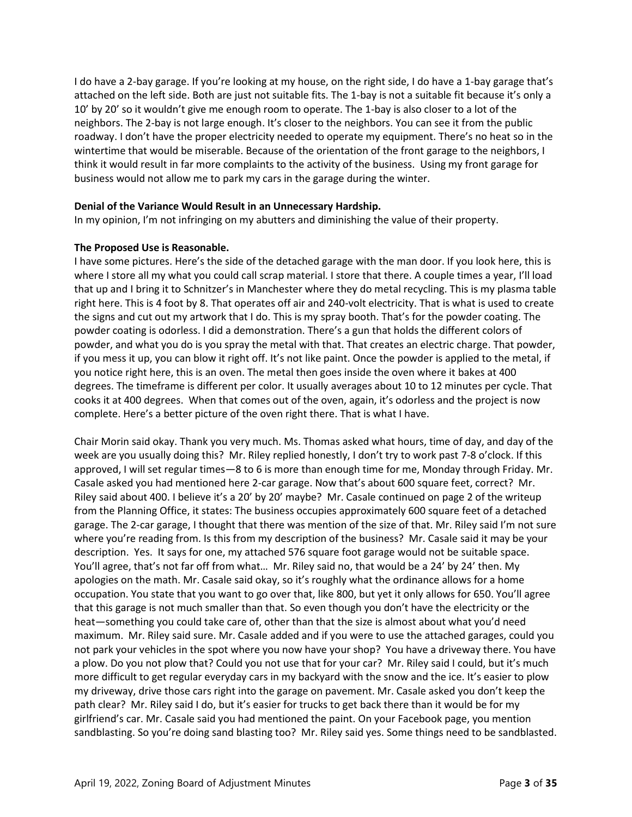I do have a 2-bay garage. If you're looking at my house, on the right side, I do have a 1-bay garage that's attached on the left side. Both are just not suitable fits. The 1-bay is not a suitable fit because it's only a 10' by 20' so it wouldn't give me enough room to operate. The 1-bay is also closer to a lot of the neighbors. The 2-bay is not large enough. It's closer to the neighbors. You can see it from the public roadway. I don't have the proper electricity needed to operate my equipment. There's no heat so in the wintertime that would be miserable. Because of the orientation of the front garage to the neighbors, I think it would result in far more complaints to the activity of the business. Using my front garage for business would not allow me to park my cars in the garage during the winter.

# **Denial of the Variance Would Result in an Unnecessary Hardship.**

In my opinion, I'm not infringing on my abutters and diminishing the value of their property.

# **The Proposed Use is Reasonable.**

I have some pictures. Here's the side of the detached garage with the man door. If you look here, this is where I store all my what you could call scrap material. I store that there. A couple times a year, I'll load that up and I bring it to Schnitzer's in Manchester where they do metal recycling. This is my plasma table right here. This is 4 foot by 8. That operates off air and 240-volt electricity. That is what is used to create the signs and cut out my artwork that I do. This is my spray booth. That's for the powder coating. The powder coating is odorless. I did a demonstration. There's a gun that holds the different colors of powder, and what you do is you spray the metal with that. That creates an electric charge. That powder, if you mess it up, you can blow it right off. It's not like paint. Once the powder is applied to the metal, if you notice right here, this is an oven. The metal then goes inside the oven where it bakes at 400 degrees. The timeframe is different per color. It usually averages about 10 to 12 minutes per cycle. That cooks it at 400 degrees. When that comes out of the oven, again, it's odorless and the project is now complete. Here's a better picture of the oven right there. That is what I have.

Chair Morin said okay. Thank you very much. Ms. Thomas asked what hours, time of day, and day of the week are you usually doing this? Mr. Riley replied honestly, I don't try to work past 7-8 o'clock. If this approved, I will set regular times—8 to 6 is more than enough time for me, Monday through Friday. Mr. Casale asked you had mentioned here 2-car garage. Now that's about 600 square feet, correct? Mr. Riley said about 400. I believe it's a 20' by 20' maybe? Mr. Casale continued on page 2 of the writeup from the Planning Office, it states: The business occupies approximately 600 square feet of a detached garage. The 2-car garage, I thought that there was mention of the size of that. Mr. Riley said I'm not sure where you're reading from. Is this from my description of the business? Mr. Casale said it may be your description. Yes. It says for one, my attached 576 square foot garage would not be suitable space. You'll agree, that's not far off from what… Mr. Riley said no, that would be a 24' by 24' then. My apologies on the math. Mr. Casale said okay, so it's roughly what the ordinance allows for a home occupation. You state that you want to go over that, like 800, but yet it only allows for 650. You'll agree that this garage is not much smaller than that. So even though you don't have the electricity or the heat—something you could take care of, other than that the size is almost about what you'd need maximum. Mr. Riley said sure. Mr. Casale added and if you were to use the attached garages, could you not park your vehicles in the spot where you now have your shop? You have a driveway there. You have a plow. Do you not plow that? Could you not use that for your car? Mr. Riley said I could, but it's much more difficult to get regular everyday cars in my backyard with the snow and the ice. It's easier to plow my driveway, drive those cars right into the garage on pavement. Mr. Casale asked you don't keep the path clear? Mr. Riley said I do, but it's easier for trucks to get back there than it would be for my girlfriend's car. Mr. Casale said you had mentioned the paint. On your Facebook page, you mention sandblasting. So you're doing sand blasting too? Mr. Riley said yes. Some things need to be sandblasted.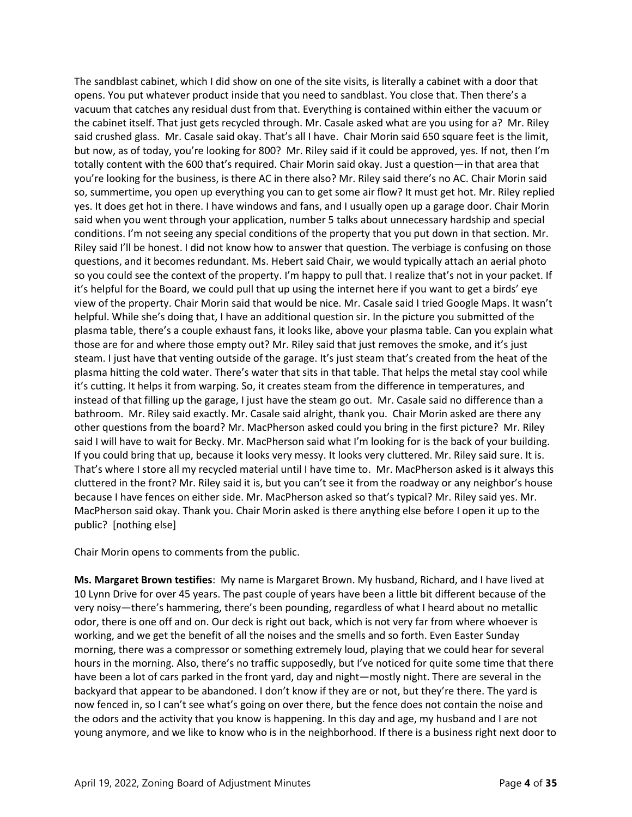The sandblast cabinet, which I did show on one of the site visits, is literally a cabinet with a door that opens. You put whatever product inside that you need to sandblast. You close that. Then there's a vacuum that catches any residual dust from that. Everything is contained within either the vacuum or the cabinet itself. That just gets recycled through. Mr. Casale asked what are you using for a? Mr. Riley said crushed glass. Mr. Casale said okay. That's all I have. Chair Morin said 650 square feet is the limit, but now, as of today, you're looking for 800? Mr. Riley said if it could be approved, yes. If not, then I'm totally content with the 600 that's required. Chair Morin said okay. Just a question—in that area that you're looking for the business, is there AC in there also? Mr. Riley said there's no AC. Chair Morin said so, summertime, you open up everything you can to get some air flow? It must get hot. Mr. Riley replied yes. It does get hot in there. I have windows and fans, and I usually open up a garage door. Chair Morin said when you went through your application, number 5 talks about unnecessary hardship and special conditions. I'm not seeing any special conditions of the property that you put down in that section. Mr. Riley said I'll be honest. I did not know how to answer that question. The verbiage is confusing on those questions, and it becomes redundant. Ms. Hebert said Chair, we would typically attach an aerial photo so you could see the context of the property. I'm happy to pull that. I realize that's not in your packet. If it's helpful for the Board, we could pull that up using the internet here if you want to get a birds' eye view of the property. Chair Morin said that would be nice. Mr. Casale said I tried Google Maps. It wasn't helpful. While she's doing that, I have an additional question sir. In the picture you submitted of the plasma table, there's a couple exhaust fans, it looks like, above your plasma table. Can you explain what those are for and where those empty out? Mr. Riley said that just removes the smoke, and it's just steam. I just have that venting outside of the garage. It's just steam that's created from the heat of the plasma hitting the cold water. There's water that sits in that table. That helps the metal stay cool while it's cutting. It helps it from warping. So, it creates steam from the difference in temperatures, and instead of that filling up the garage, I just have the steam go out. Mr. Casale said no difference than a bathroom. Mr. Riley said exactly. Mr. Casale said alright, thank you. Chair Morin asked are there any other questions from the board? Mr. MacPherson asked could you bring in the first picture? Mr. Riley said I will have to wait for Becky. Mr. MacPherson said what I'm looking for is the back of your building. If you could bring that up, because it looks very messy. It looks very cluttered. Mr. Riley said sure. It is. That's where I store all my recycled material until I have time to. Mr. MacPherson asked is it always this cluttered in the front? Mr. Riley said it is, but you can't see it from the roadway or any neighbor's house because I have fences on either side. Mr. MacPherson asked so that's typical? Mr. Riley said yes. Mr. MacPherson said okay. Thank you. Chair Morin asked is there anything else before I open it up to the public? [nothing else]

Chair Morin opens to comments from the public.

**Ms. Margaret Brown testifies**: My name is Margaret Brown. My husband, Richard, and I have lived at 10 Lynn Drive for over 45 years. The past couple of years have been a little bit different because of the very noisy—there's hammering, there's been pounding, regardless of what I heard about no metallic odor, there is one off and on. Our deck is right out back, which is not very far from where whoever is working, and we get the benefit of all the noises and the smells and so forth. Even Easter Sunday morning, there was a compressor or something extremely loud, playing that we could hear for several hours in the morning. Also, there's no traffic supposedly, but I've noticed for quite some time that there have been a lot of cars parked in the front yard, day and night—mostly night. There are several in the backyard that appear to be abandoned. I don't know if they are or not, but they're there. The yard is now fenced in, so I can't see what's going on over there, but the fence does not contain the noise and the odors and the activity that you know is happening. In this day and age, my husband and I are not young anymore, and we like to know who is in the neighborhood. If there is a business right next door to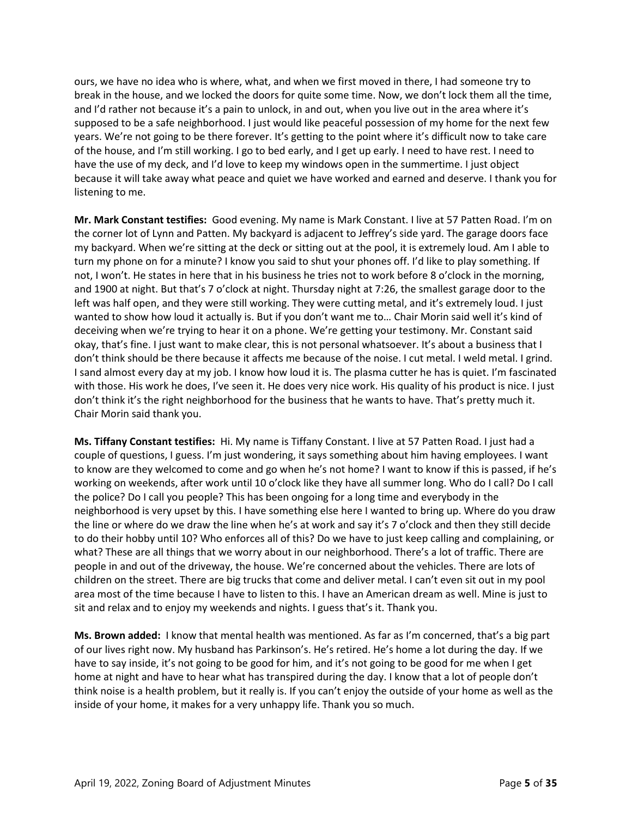ours, we have no idea who is where, what, and when we first moved in there, I had someone try to break in the house, and we locked the doors for quite some time. Now, we don't lock them all the time, and I'd rather not because it's a pain to unlock, in and out, when you live out in the area where it's supposed to be a safe neighborhood. I just would like peaceful possession of my home for the next few years. We're not going to be there forever. It's getting to the point where it's difficult now to take care of the house, and I'm still working. I go to bed early, and I get up early. I need to have rest. I need to have the use of my deck, and I'd love to keep my windows open in the summertime. I just object because it will take away what peace and quiet we have worked and earned and deserve. I thank you for listening to me.

**Mr. Mark Constant testifies:** Good evening. My name is Mark Constant. I live at 57 Patten Road. I'm on the corner lot of Lynn and Patten. My backyard is adjacent to Jeffrey's side yard. The garage doors face my backyard. When we're sitting at the deck or sitting out at the pool, it is extremely loud. Am I able to turn my phone on for a minute? I know you said to shut your phones off. I'd like to play something. If not, I won't. He states in here that in his business he tries not to work before 8 o'clock in the morning, and 1900 at night. But that's 7 o'clock at night. Thursday night at 7:26, the smallest garage door to the left was half open, and they were still working. They were cutting metal, and it's extremely loud. I just wanted to show how loud it actually is. But if you don't want me to… Chair Morin said well it's kind of deceiving when we're trying to hear it on a phone. We're getting your testimony. Mr. Constant said okay, that's fine. I just want to make clear, this is not personal whatsoever. It's about a business that I don't think should be there because it affects me because of the noise. I cut metal. I weld metal. I grind. I sand almost every day at my job. I know how loud it is. The plasma cutter he has is quiet. I'm fascinated with those. His work he does, I've seen it. He does very nice work. His quality of his product is nice. I just don't think it's the right neighborhood for the business that he wants to have. That's pretty much it. Chair Morin said thank you.

**Ms. Tiffany Constant testifies:** Hi. My name is Tiffany Constant. I live at 57 Patten Road. I just had a couple of questions, I guess. I'm just wondering, it says something about him having employees. I want to know are they welcomed to come and go when he's not home? I want to know if this is passed, if he's working on weekends, after work until 10 o'clock like they have all summer long. Who do I call? Do I call the police? Do I call you people? This has been ongoing for a long time and everybody in the neighborhood is very upset by this. I have something else here I wanted to bring up. Where do you draw the line or where do we draw the line when he's at work and say it's 7 o'clock and then they still decide to do their hobby until 10? Who enforces all of this? Do we have to just keep calling and complaining, or what? These are all things that we worry about in our neighborhood. There's a lot of traffic. There are people in and out of the driveway, the house. We're concerned about the vehicles. There are lots of children on the street. There are big trucks that come and deliver metal. I can't even sit out in my pool area most of the time because I have to listen to this. I have an American dream as well. Mine is just to sit and relax and to enjoy my weekends and nights. I guess that's it. Thank you.

**Ms. Brown added:** I know that mental health was mentioned. As far as I'm concerned, that's a big part of our lives right now. My husband has Parkinson's. He's retired. He's home a lot during the day. If we have to say inside, it's not going to be good for him, and it's not going to be good for me when I get home at night and have to hear what has transpired during the day. I know that a lot of people don't think noise is a health problem, but it really is. If you can't enjoy the outside of your home as well as the inside of your home, it makes for a very unhappy life. Thank you so much.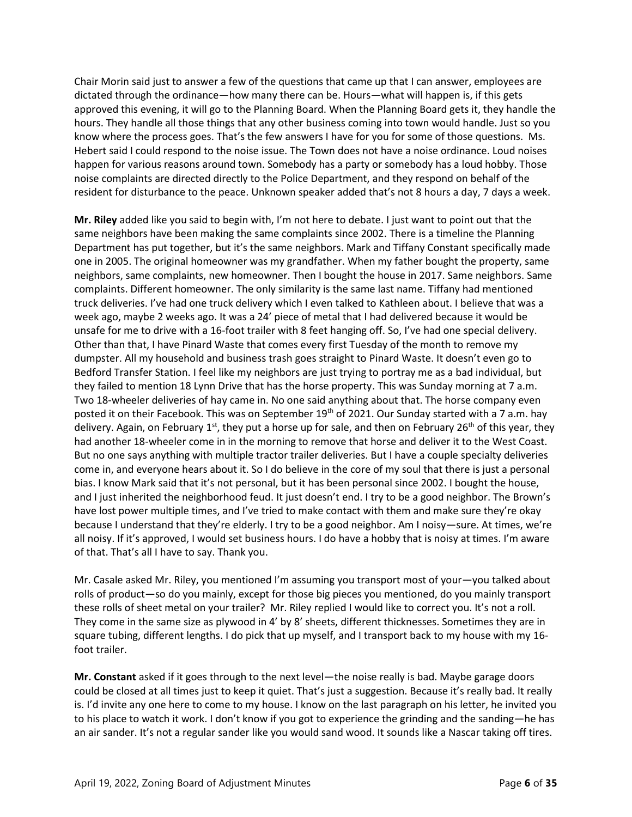Chair Morin said just to answer a few of the questions that came up that I can answer, employees are dictated through the ordinance—how many there can be. Hours—what will happen is, if this gets approved this evening, it will go to the Planning Board. When the Planning Board gets it, they handle the hours. They handle all those things that any other business coming into town would handle. Just so you know where the process goes. That's the few answers I have for you for some of those questions. Ms. Hebert said I could respond to the noise issue. The Town does not have a noise ordinance. Loud noises happen for various reasons around town. Somebody has a party or somebody has a loud hobby. Those noise complaints are directed directly to the Police Department, and they respond on behalf of the resident for disturbance to the peace. Unknown speaker added that's not 8 hours a day, 7 days a week.

**Mr. Riley** added like you said to begin with, I'm not here to debate. I just want to point out that the same neighbors have been making the same complaints since 2002. There is a timeline the Planning Department has put together, but it's the same neighbors. Mark and Tiffany Constant specifically made one in 2005. The original homeowner was my grandfather. When my father bought the property, same neighbors, same complaints, new homeowner. Then I bought the house in 2017. Same neighbors. Same complaints. Different homeowner. The only similarity is the same last name. Tiffany had mentioned truck deliveries. I've had one truck delivery which I even talked to Kathleen about. I believe that was a week ago, maybe 2 weeks ago. It was a 24' piece of metal that I had delivered because it would be unsafe for me to drive with a 16-foot trailer with 8 feet hanging off. So, I've had one special delivery. Other than that, I have Pinard Waste that comes every first Tuesday of the month to remove my dumpster. All my household and business trash goes straight to Pinard Waste. It doesn't even go to Bedford Transfer Station. I feel like my neighbors are just trying to portray me as a bad individual, but they failed to mention 18 Lynn Drive that has the horse property. This was Sunday morning at 7 a.m. Two 18-wheeler deliveries of hay came in. No one said anything about that. The horse company even posted it on their Facebook. This was on September 19<sup>th</sup> of 2021. Our Sunday started with a 7 a.m. hay delivery. Again, on February 1<sup>st</sup>, they put a horse up for sale, and then on February 26<sup>th</sup> of this year, they had another 18-wheeler come in in the morning to remove that horse and deliver it to the West Coast. But no one says anything with multiple tractor trailer deliveries. But I have a couple specialty deliveries come in, and everyone hears about it. So I do believe in the core of my soul that there is just a personal bias. I know Mark said that it's not personal, but it has been personal since 2002. I bought the house, and I just inherited the neighborhood feud. It just doesn't end. I try to be a good neighbor. The Brown's have lost power multiple times, and I've tried to make contact with them and make sure they're okay because I understand that they're elderly. I try to be a good neighbor. Am I noisy—sure. At times, we're all noisy. If it's approved, I would set business hours. I do have a hobby that is noisy at times. I'm aware of that. That's all I have to say. Thank you.

Mr. Casale asked Mr. Riley, you mentioned I'm assuming you transport most of your—you talked about rolls of product—so do you mainly, except for those big pieces you mentioned, do you mainly transport these rolls of sheet metal on your trailer? Mr. Riley replied I would like to correct you. It's not a roll. They come in the same size as plywood in 4' by 8' sheets, different thicknesses. Sometimes they are in square tubing, different lengths. I do pick that up myself, and I transport back to my house with my 16 foot trailer.

**Mr. Constant** asked if it goes through to the next level—the noise really is bad. Maybe garage doors could be closed at all times just to keep it quiet. That's just a suggestion. Because it's really bad. It really is. I'd invite any one here to come to my house. I know on the last paragraph on his letter, he invited you to his place to watch it work. I don't know if you got to experience the grinding and the sanding—he has an air sander. It's not a regular sander like you would sand wood. It sounds like a Nascar taking off tires.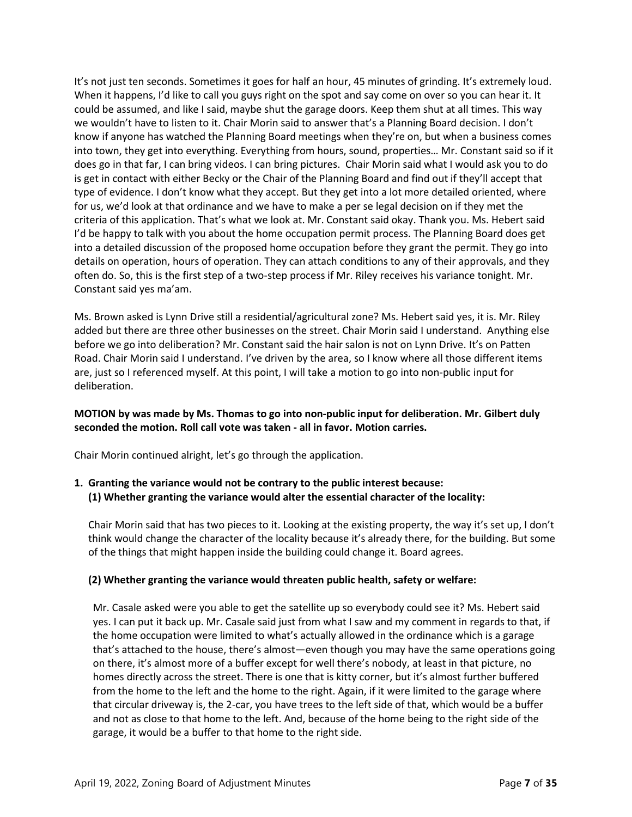It's not just ten seconds. Sometimes it goes for half an hour, 45 minutes of grinding. It's extremely loud. When it happens, I'd like to call you guys right on the spot and say come on over so you can hear it. It could be assumed, and like I said, maybe shut the garage doors. Keep them shut at all times. This way we wouldn't have to listen to it. Chair Morin said to answer that's a Planning Board decision. I don't know if anyone has watched the Planning Board meetings when they're on, but when a business comes into town, they get into everything. Everything from hours, sound, properties… Mr. Constant said so if it does go in that far, I can bring videos. I can bring pictures. Chair Morin said what I would ask you to do is get in contact with either Becky or the Chair of the Planning Board and find out if they'll accept that type of evidence. I don't know what they accept. But they get into a lot more detailed oriented, where for us, we'd look at that ordinance and we have to make a per se legal decision on if they met the criteria of this application. That's what we look at. Mr. Constant said okay. Thank you. Ms. Hebert said I'd be happy to talk with you about the home occupation permit process. The Planning Board does get into a detailed discussion of the proposed home occupation before they grant the permit. They go into details on operation, hours of operation. They can attach conditions to any of their approvals, and they often do. So, this is the first step of a two-step process if Mr. Riley receives his variance tonight. Mr. Constant said yes ma'am.

Ms. Brown asked is Lynn Drive still a residential/agricultural zone? Ms. Hebert said yes, it is. Mr. Riley added but there are three other businesses on the street. Chair Morin said I understand. Anything else before we go into deliberation? Mr. Constant said the hair salon is not on Lynn Drive. It's on Patten Road. Chair Morin said I understand. I've driven by the area, so I know where all those different items are, just so I referenced myself. At this point, I will take a motion to go into non-public input for deliberation.

# **MOTION by was made by Ms. Thomas to go into non-public input for deliberation. Mr. Gilbert duly seconded the motion. Roll call vote was taken - all in favor. Motion carries.**

Chair Morin continued alright, let's go through the application.

# **1. Granting the variance would not be contrary to the public interest because: (1) Whether granting the variance would alter the essential character of the locality:**

Chair Morin said that has two pieces to it. Looking at the existing property, the way it's set up, I don't think would change the character of the locality because it's already there, for the building. But some of the things that might happen inside the building could change it. Board agrees.

# **(2) Whether granting the variance would threaten public health, safety or welfare:**

Mr. Casale asked were you able to get the satellite up so everybody could see it? Ms. Hebert said yes. I can put it back up. Mr. Casale said just from what I saw and my comment in regards to that, if the home occupation were limited to what's actually allowed in the ordinance which is a garage that's attached to the house, there's almost—even though you may have the same operations going on there, it's almost more of a buffer except for well there's nobody, at least in that picture, no homes directly across the street. There is one that is kitty corner, but it's almost further buffered from the home to the left and the home to the right. Again, if it were limited to the garage where that circular driveway is, the 2-car, you have trees to the left side of that, which would be a buffer and not as close to that home to the left. And, because of the home being to the right side of the garage, it would be a buffer to that home to the right side.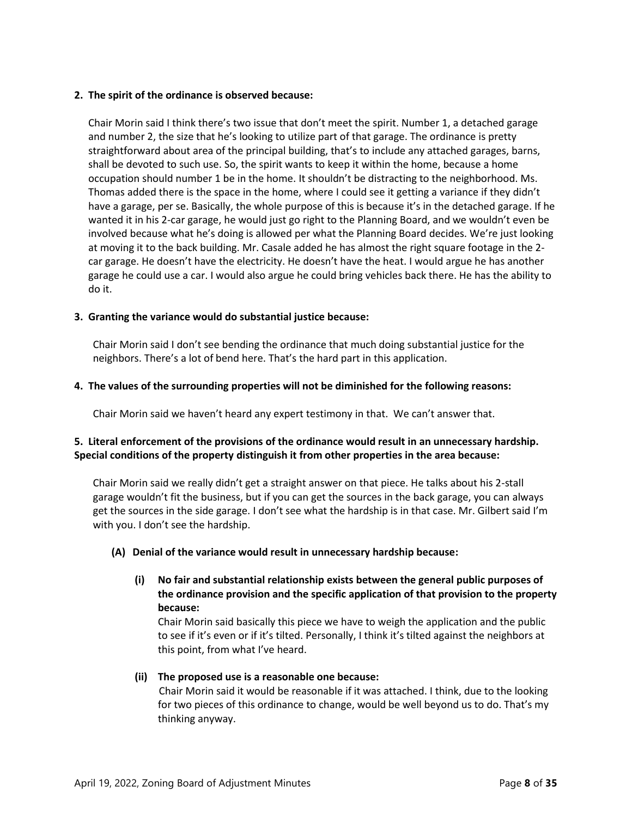# **2. The spirit of the ordinance is observed because:**

Chair Morin said I think there's two issue that don't meet the spirit. Number 1, a detached garage and number 2, the size that he's looking to utilize part of that garage. The ordinance is pretty straightforward about area of the principal building, that's to include any attached garages, barns, shall be devoted to such use. So, the spirit wants to keep it within the home, because a home occupation should number 1 be in the home. It shouldn't be distracting to the neighborhood. Ms. Thomas added there is the space in the home, where I could see it getting a variance if they didn't have a garage, per se. Basically, the whole purpose of this is because it's in the detached garage. If he wanted it in his 2-car garage, he would just go right to the Planning Board, and we wouldn't even be involved because what he's doing is allowed per what the Planning Board decides. We're just looking at moving it to the back building. Mr. Casale added he has almost the right square footage in the 2 car garage. He doesn't have the electricity. He doesn't have the heat. I would argue he has another garage he could use a car. I would also argue he could bring vehicles back there. He has the ability to do it.

# **3. Granting the variance would do substantial justice because:**

Chair Morin said I don't see bending the ordinance that much doing substantial justice for the neighbors. There's a lot of bend here. That's the hard part in this application.

# **4. The values of the surrounding properties will not be diminished for the following reasons:**

Chair Morin said we haven't heard any expert testimony in that. We can't answer that.

# **5. Literal enforcement of the provisions of the ordinance would result in an unnecessary hardship. Special conditions of the property distinguish it from other properties in the area because:**

Chair Morin said we really didn't get a straight answer on that piece. He talks about his 2-stall garage wouldn't fit the business, but if you can get the sources in the back garage, you can always get the sources in the side garage. I don't see what the hardship is in that case. Mr. Gilbert said I'm with you. I don't see the hardship.

#### **(A) Denial of the variance would result in unnecessary hardship because:**

**(i) No fair and substantial relationship exists between the general public purposes of the ordinance provision and the specific application of that provision to the property because:**

Chair Morin said basically this piece we have to weigh the application and the public to see if it's even or if it's tilted. Personally, I think it's tilted against the neighbors at this point, from what I've heard.

#### **(ii) The proposed use is a reasonable one because:**

Chair Morin said it would be reasonable if it was attached. I think, due to the looking for two pieces of this ordinance to change, would be well beyond us to do. That's my thinking anyway.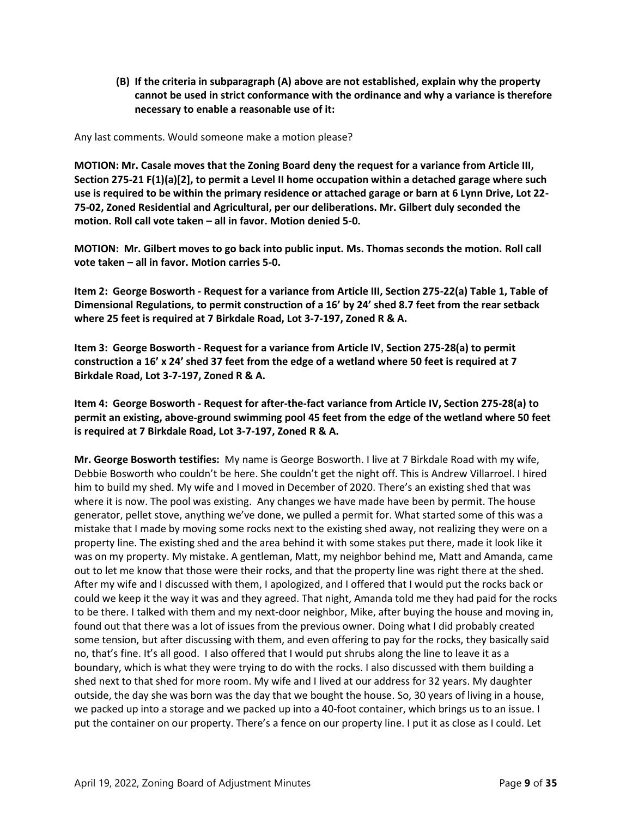**(B) If the criteria in subparagraph (A) above are not established, explain why the property cannot be used in strict conformance with the ordinance and why a variance is therefore necessary to enable a reasonable use of it:**

Any last comments. Would someone make a motion please?

**MOTION: Mr. Casale moves that the Zoning Board deny the request for a variance from Article III, Section 275-21 F(1)(a)[2], to permit a Level II home occupation within a detached garage where such use is required to be within the primary residence or attached garage or barn at 6 Lynn Drive, Lot 22- 75-02, Zoned Residential and Agricultural, per our deliberations. Mr. Gilbert duly seconded the motion. Roll call vote taken – all in favor. Motion denied 5-0.**

**MOTION: Mr. Gilbert moves to go back into public input. Ms. Thomas seconds the motion. Roll call vote taken – all in favor. Motion carries 5-0.**

**Item 2: George Bosworth - Request for a variance from Article III, Section 275-22(a) Table 1, Table of Dimensional Regulations, to permit construction of a 16' by 24' shed 8.7 feet from the rear setback where 25 feet is required at 7 Birkdale Road, Lot 3-7-197, Zoned R & A.** 

**Item 3: George Bosworth - Request for a variance from Article IV**, **Section 275-28(a) to permit construction a 16' x 24' shed 37 feet from the edge of a wetland where 50 feet is required at 7 Birkdale Road, Lot 3-7-197, Zoned R & A.**

**Item 4: George Bosworth - Request for after-the-fact variance from Article IV, Section 275-28(a) to permit an existing, above-ground swimming pool 45 feet from the edge of the wetland where 50 feet is required at 7 Birkdale Road, Lot 3-7-197, Zoned R & A.**

**Mr. George Bosworth testifies:** My name is George Bosworth. I live at 7 Birkdale Road with my wife, Debbie Bosworth who couldn't be here. She couldn't get the night off. This is Andrew Villarroel. I hired him to build my shed. My wife and I moved in December of 2020. There's an existing shed that was where it is now. The pool was existing. Any changes we have made have been by permit. The house generator, pellet stove, anything we've done, we pulled a permit for. What started some of this was a mistake that I made by moving some rocks next to the existing shed away, not realizing they were on a property line. The existing shed and the area behind it with some stakes put there, made it look like it was on my property. My mistake. A gentleman, Matt, my neighbor behind me, Matt and Amanda, came out to let me know that those were their rocks, and that the property line was right there at the shed. After my wife and I discussed with them, I apologized, and I offered that I would put the rocks back or could we keep it the way it was and they agreed. That night, Amanda told me they had paid for the rocks to be there. I talked with them and my next-door neighbor, Mike, after buying the house and moving in, found out that there was a lot of issues from the previous owner. Doing what I did probably created some tension, but after discussing with them, and even offering to pay for the rocks, they basically said no, that's fine. It's all good. I also offered that I would put shrubs along the line to leave it as a boundary, which is what they were trying to do with the rocks. I also discussed with them building a shed next to that shed for more room. My wife and I lived at our address for 32 years. My daughter outside, the day she was born was the day that we bought the house. So, 30 years of living in a house, we packed up into a storage and we packed up into a 40-foot container, which brings us to an issue. I put the container on our property. There's a fence on our property line. I put it as close as I could. Let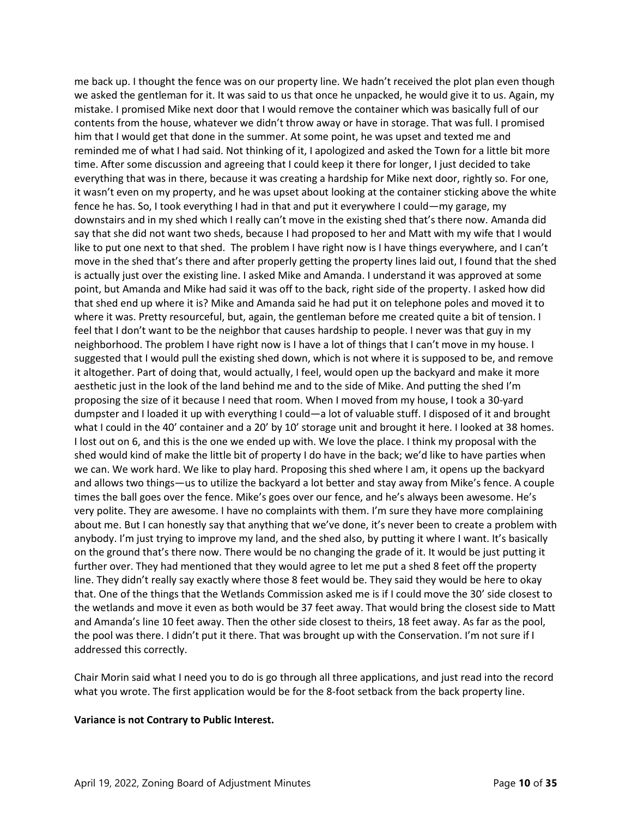me back up. I thought the fence was on our property line. We hadn't received the plot plan even though we asked the gentleman for it. It was said to us that once he unpacked, he would give it to us. Again, my mistake. I promised Mike next door that I would remove the container which was basically full of our contents from the house, whatever we didn't throw away or have in storage. That was full. I promised him that I would get that done in the summer. At some point, he was upset and texted me and reminded me of what I had said. Not thinking of it, I apologized and asked the Town for a little bit more time. After some discussion and agreeing that I could keep it there for longer, I just decided to take everything that was in there, because it was creating a hardship for Mike next door, rightly so. For one, it wasn't even on my property, and he was upset about looking at the container sticking above the white fence he has. So, I took everything I had in that and put it everywhere I could—my garage, my downstairs and in my shed which I really can't move in the existing shed that's there now. Amanda did say that she did not want two sheds, because I had proposed to her and Matt with my wife that I would like to put one next to that shed. The problem I have right now is I have things everywhere, and I can't move in the shed that's there and after properly getting the property lines laid out, I found that the shed is actually just over the existing line. I asked Mike and Amanda. I understand it was approved at some point, but Amanda and Mike had said it was off to the back, right side of the property. I asked how did that shed end up where it is? Mike and Amanda said he had put it on telephone poles and moved it to where it was. Pretty resourceful, but, again, the gentleman before me created quite a bit of tension. I feel that I don't want to be the neighbor that causes hardship to people. I never was that guy in my neighborhood. The problem I have right now is I have a lot of things that I can't move in my house. I suggested that I would pull the existing shed down, which is not where it is supposed to be, and remove it altogether. Part of doing that, would actually, I feel, would open up the backyard and make it more aesthetic just in the look of the land behind me and to the side of Mike. And putting the shed I'm proposing the size of it because I need that room. When I moved from my house, I took a 30-yard dumpster and I loaded it up with everything I could—a lot of valuable stuff. I disposed of it and brought what I could in the 40' container and a 20' by 10' storage unit and brought it here. I looked at 38 homes. I lost out on 6, and this is the one we ended up with. We love the place. I think my proposal with the shed would kind of make the little bit of property I do have in the back; we'd like to have parties when we can. We work hard. We like to play hard. Proposing this shed where I am, it opens up the backyard and allows two things—us to utilize the backyard a lot better and stay away from Mike's fence. A couple times the ball goes over the fence. Mike's goes over our fence, and he's always been awesome. He's very polite. They are awesome. I have no complaints with them. I'm sure they have more complaining about me. But I can honestly say that anything that we've done, it's never been to create a problem with anybody. I'm just trying to improve my land, and the shed also, by putting it where I want. It's basically on the ground that's there now. There would be no changing the grade of it. It would be just putting it further over. They had mentioned that they would agree to let me put a shed 8 feet off the property line. They didn't really say exactly where those 8 feet would be. They said they would be here to okay that. One of the things that the Wetlands Commission asked me is if I could move the 30' side closest to the wetlands and move it even as both would be 37 feet away. That would bring the closest side to Matt and Amanda's line 10 feet away. Then the other side closest to theirs, 18 feet away. As far as the pool, the pool was there. I didn't put it there. That was brought up with the Conservation. I'm not sure if I addressed this correctly.

Chair Morin said what I need you to do is go through all three applications, and just read into the record what you wrote. The first application would be for the 8-foot setback from the back property line.

#### **Variance is not Contrary to Public Interest.**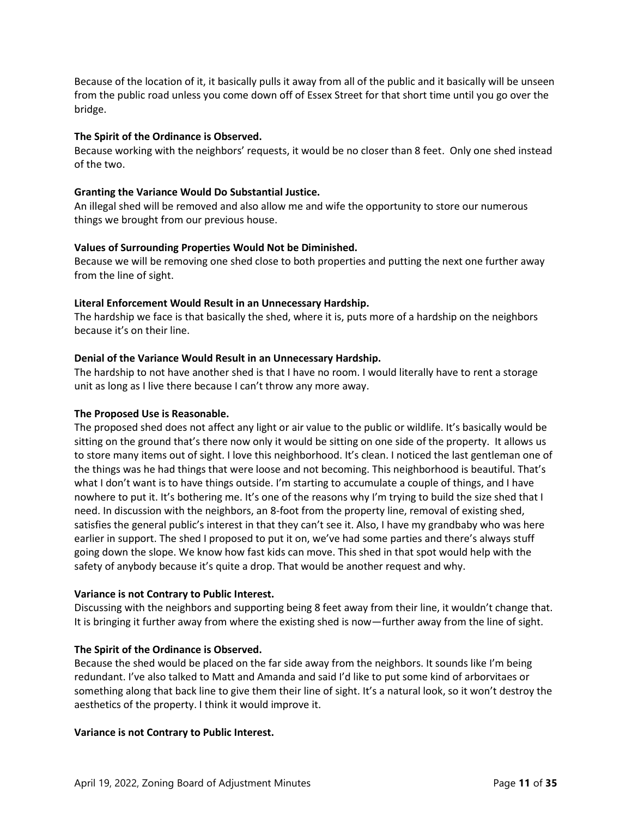Because of the location of it, it basically pulls it away from all of the public and it basically will be unseen from the public road unless you come down off of Essex Street for that short time until you go over the bridge.

# **The Spirit of the Ordinance is Observed.**

Because working with the neighbors' requests, it would be no closer than 8 feet. Only one shed instead of the two.

# **Granting the Variance Would Do Substantial Justice.**

An illegal shed will be removed and also allow me and wife the opportunity to store our numerous things we brought from our previous house.

# **Values of Surrounding Properties Would Not be Diminished.**

Because we will be removing one shed close to both properties and putting the next one further away from the line of sight.

# **Literal Enforcement Would Result in an Unnecessary Hardship.**

The hardship we face is that basically the shed, where it is, puts more of a hardship on the neighbors because it's on their line.

# **Denial of the Variance Would Result in an Unnecessary Hardship.**

The hardship to not have another shed is that I have no room. I would literally have to rent a storage unit as long as I live there because I can't throw any more away.

#### **The Proposed Use is Reasonable.**

The proposed shed does not affect any light or air value to the public or wildlife. It's basically would be sitting on the ground that's there now only it would be sitting on one side of the property. It allows us to store many items out of sight. I love this neighborhood. It's clean. I noticed the last gentleman one of the things was he had things that were loose and not becoming. This neighborhood is beautiful. That's what I don't want is to have things outside. I'm starting to accumulate a couple of things, and I have nowhere to put it. It's bothering me. It's one of the reasons why I'm trying to build the size shed that I need. In discussion with the neighbors, an 8-foot from the property line, removal of existing shed, satisfies the general public's interest in that they can't see it. Also, I have my grandbaby who was here earlier in support. The shed I proposed to put it on, we've had some parties and there's always stuff going down the slope. We know how fast kids can move. This shed in that spot would help with the safety of anybody because it's quite a drop. That would be another request and why.

#### **Variance is not Contrary to Public Interest.**

Discussing with the neighbors and supporting being 8 feet away from their line, it wouldn't change that. It is bringing it further away from where the existing shed is now—further away from the line of sight.

#### **The Spirit of the Ordinance is Observed.**

Because the shed would be placed on the far side away from the neighbors. It sounds like I'm being redundant. I've also talked to Matt and Amanda and said I'd like to put some kind of arborvitaes or something along that back line to give them their line of sight. It's a natural look, so it won't destroy the aesthetics of the property. I think it would improve it.

#### **Variance is not Contrary to Public Interest.**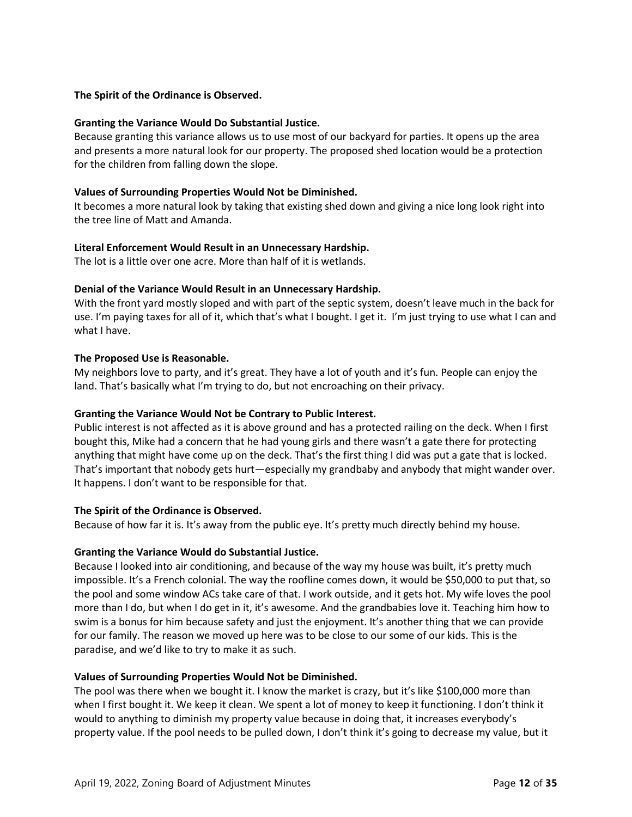# **The Spirit of the Ordinance is Observed.**

#### **Granting the Variance Would Do Substantial Justice.**

Because granting this variance allows us to use most of our backyard for parties. It opens up the area and presents a more natural look for our property. The proposed shed location would be a protection for the children from falling down the slope.

# **Values of Surrounding Properties Would Not be Diminished.**

It becomes a more natural look by taking that existing shed down and giving a nice long look right into the tree line of Matt and Amanda.

# **Literal Enforcement Would Result in an Unnecessary Hardship.**

The lot is a little over one acre. More than half of it is wetlands.

# **Denial of the Variance Would Result in an Unnecessary Hardship.**

With the front yard mostly sloped and with part of the septic system, doesn't leave much in the back for use. I'm paying taxes for all of it, which that's what I bought. I get it. I'm just trying to use what I can and what I have.

# **The Proposed Use is Reasonable.**

My neighbors love to party, and it's great. They have a lot of youth and it's fun. People can enjoy the land. That's basically what I'm trying to do, but not encroaching on their privacy.

# **Granting the Variance Would Not be Contrary to Public Interest.**

Public interest is not affected as it is above ground and has a protected railing on the deck. When I first bought this, Mike had a concern that he had young girls and there wasn't a gate there for protecting anything that might have come up on the deck. That's the first thing I did was put a gate that is locked. That's important that nobody gets hurt—especially my grandbaby and anybody that might wander over. It happens. I don't want to be responsible for that.

#### **The Spirit of the Ordinance is Observed.**

Because of how far it is. It's away from the public eye. It's pretty much directly behind my house.

# **Granting the Variance Would do Substantial Justice.**

Because I looked into air conditioning, and because of the way my house was built, it's pretty much impossible. It's a French colonial. The way the roofline comes down, it would be \$50,000 to put that, so the pool and some window ACs take care of that. I work outside, and it gets hot. My wife loves the pool more than I do, but when I do get in it, it's awesome. And the grandbabies love it. Teaching him how to swim is a bonus for him because safety and just the enjoyment. It's another thing that we can provide for our family. The reason we moved up here was to be close to our some of our kids. This is the paradise, and we'd like to try to make it as such.

#### **Values of Surrounding Properties Would Not be Diminished.**

The pool was there when we bought it. I know the market is crazy, but it's like \$100,000 more than when I first bought it. We keep it clean. We spent a lot of money to keep it functioning. I don't think it would to anything to diminish my property value because in doing that, it increases everybody's property value. If the pool needs to be pulled down, I don't think it's going to decrease my value, but it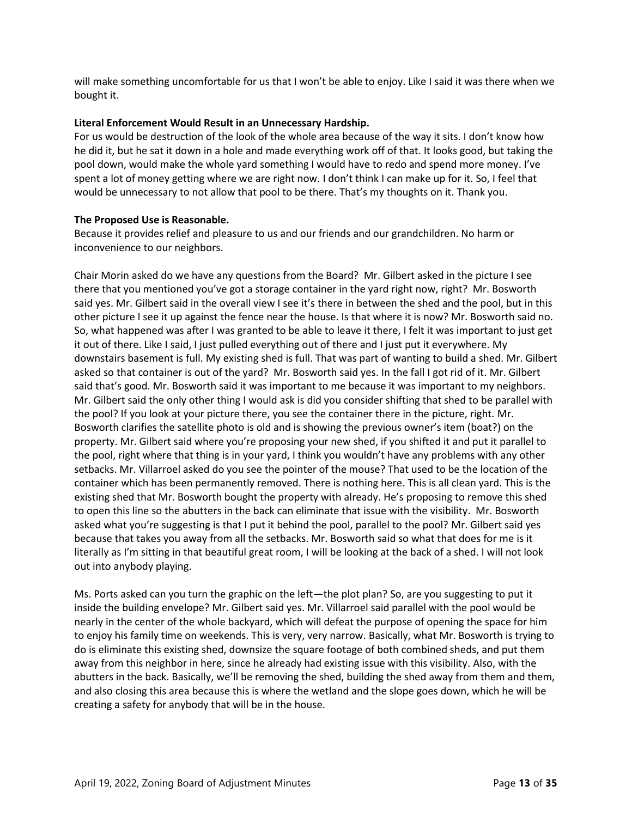will make something uncomfortable for us that I won't be able to enjoy. Like I said it was there when we bought it.

# **Literal Enforcement Would Result in an Unnecessary Hardship.**

For us would be destruction of the look of the whole area because of the way it sits. I don't know how he did it, but he sat it down in a hole and made everything work off of that. It looks good, but taking the pool down, would make the whole yard something I would have to redo and spend more money. I've spent a lot of money getting where we are right now. I don't think I can make up for it. So, I feel that would be unnecessary to not allow that pool to be there. That's my thoughts on it. Thank you.

# **The Proposed Use is Reasonable.**

Because it provides relief and pleasure to us and our friends and our grandchildren. No harm or inconvenience to our neighbors.

Chair Morin asked do we have any questions from the Board? Mr. Gilbert asked in the picture I see there that you mentioned you've got a storage container in the yard right now, right? Mr. Bosworth said yes. Mr. Gilbert said in the overall view I see it's there in between the shed and the pool, but in this other picture I see it up against the fence near the house. Is that where it is now? Mr. Bosworth said no. So, what happened was after I was granted to be able to leave it there, I felt it was important to just get it out of there. Like I said, I just pulled everything out of there and I just put it everywhere. My downstairs basement is full. My existing shed is full. That was part of wanting to build a shed. Mr. Gilbert asked so that container is out of the yard? Mr. Bosworth said yes. In the fall I got rid of it. Mr. Gilbert said that's good. Mr. Bosworth said it was important to me because it was important to my neighbors. Mr. Gilbert said the only other thing I would ask is did you consider shifting that shed to be parallel with the pool? If you look at your picture there, you see the container there in the picture, right. Mr. Bosworth clarifies the satellite photo is old and is showing the previous owner's item (boat?) on the property. Mr. Gilbert said where you're proposing your new shed, if you shifted it and put it parallel to the pool, right where that thing is in your yard, I think you wouldn't have any problems with any other setbacks. Mr. Villarroel asked do you see the pointer of the mouse? That used to be the location of the container which has been permanently removed. There is nothing here. This is all clean yard. This is the existing shed that Mr. Bosworth bought the property with already. He's proposing to remove this shed to open this line so the abutters in the back can eliminate that issue with the visibility. Mr. Bosworth asked what you're suggesting is that I put it behind the pool, parallel to the pool? Mr. Gilbert said yes because that takes you away from all the setbacks. Mr. Bosworth said so what that does for me is it literally as I'm sitting in that beautiful great room, I will be looking at the back of a shed. I will not look out into anybody playing.

Ms. Ports asked can you turn the graphic on the left—the plot plan? So, are you suggesting to put it inside the building envelope? Mr. Gilbert said yes. Mr. Villarroel said parallel with the pool would be nearly in the center of the whole backyard, which will defeat the purpose of opening the space for him to enjoy his family time on weekends. This is very, very narrow. Basically, what Mr. Bosworth is trying to do is eliminate this existing shed, downsize the square footage of both combined sheds, and put them away from this neighbor in here, since he already had existing issue with this visibility. Also, with the abutters in the back. Basically, we'll be removing the shed, building the shed away from them and them, and also closing this area because this is where the wetland and the slope goes down, which he will be creating a safety for anybody that will be in the house.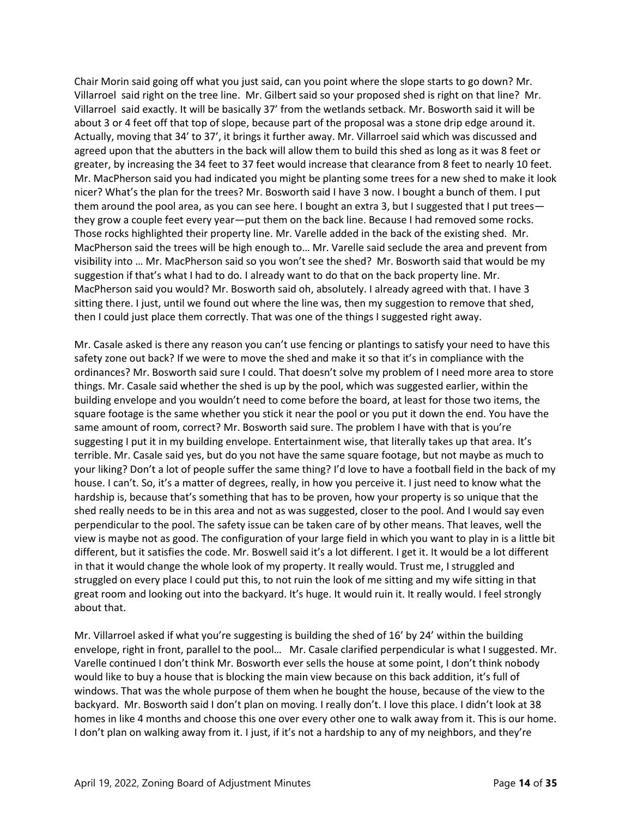Chair Morin said going off what you just said, can you point where the slope starts to go down? Mr. Villarroel said right on the tree line. Mr. Gilbert said so your proposed shed is right on that line? Mr. Villarroel said exactly. It will be basically 37' from the wetlands setback. Mr. Bosworth said it will be about 3 or 4 feet off that top of slope, because part of the proposal was a stone drip edge around it. Actually, moving that 34' to 37', it brings it further away. Mr. Villarroel said which was discussed and agreed upon that the abutters in the back will allow them to build this shed as long as it was 8 feet or greater, by increasing the 34 feet to 37 feet would increase that clearance from 8 feet to nearly 10 feet. Mr. MacPherson said you had indicated you might be planting some trees for a new shed to make it look nicer? What's the plan for the trees? Mr. Bosworth said I have 3 now. I bought a bunch of them. I put them around the pool area, as you can see here. I bought an extra 3, but I suggested that I put trees they grow a couple feet every year—put them on the back line. Because I had removed some rocks. Those rocks highlighted their property line. Mr. Varelle added in the back of the existing shed. Mr. MacPherson said the trees will be high enough to… Mr. Varelle said seclude the area and prevent from visibility into … Mr. MacPherson said so you won't see the shed? Mr. Bosworth said that would be my suggestion if that's what I had to do. I already want to do that on the back property line. Mr. MacPherson said you would? Mr. Bosworth said oh, absolutely. I already agreed with that. I have 3 sitting there. I just, until we found out where the line was, then my suggestion to remove that shed, then I could just place them correctly. That was one of the things I suggested right away.

Mr. Casale asked is there any reason you can't use fencing or plantings to satisfy your need to have this safety zone out back? If we were to move the shed and make it so that it's in compliance with the ordinances? Mr. Bosworth said sure I could. That doesn't solve my problem of I need more area to store things. Mr. Casale said whether the shed is up by the pool, which was suggested earlier, within the building envelope and you wouldn't need to come before the board, at least for those two items, the square footage is the same whether you stick it near the pool or you put it down the end. You have the same amount of room, correct? Mr. Bosworth said sure. The problem I have with that is you're suggesting I put it in my building envelope. Entertainment wise, that literally takes up that area. It's terrible. Mr. Casale said yes, but do you not have the same square footage, but not maybe as much to your liking? Don't a lot of people suffer the same thing? I'd love to have a football field in the back of my house. I can't. So, it's a matter of degrees, really, in how you perceive it. I just need to know what the hardship is, because that's something that has to be proven, how your property is so unique that the shed really needs to be in this area and not as was suggested, closer to the pool. And I would say even perpendicular to the pool. The safety issue can be taken care of by other means. That leaves, well the view is maybe not as good. The configuration of your large field in which you want to play in is a little bit different, but it satisfies the code. Mr. Boswell said it's a lot different. I get it. It would be a lot different in that it would change the whole look of my property. It really would. Trust me, I struggled and struggled on every place I could put this, to not ruin the look of me sitting and my wife sitting in that great room and looking out into the backyard. It's huge. It would ruin it. It really would. I feel strongly about that.

Mr. Villarroel asked if what you're suggesting is building the shed of 16' by 24' within the building envelope, right in front, parallel to the pool… Mr. Casale clarified perpendicular is what I suggested. Mr. Varelle continued I don't think Mr. Bosworth ever sells the house at some point, I don't think nobody would like to buy a house that is blocking the main view because on this back addition, it's full of windows. That was the whole purpose of them when he bought the house, because of the view to the backyard. Mr. Bosworth said I don't plan on moving. I really don't. I love this place. I didn't look at 38 homes in like 4 months and choose this one over every other one to walk away from it. This is our home. I don't plan on walking away from it. I just, if it's not a hardship to any of my neighbors, and they're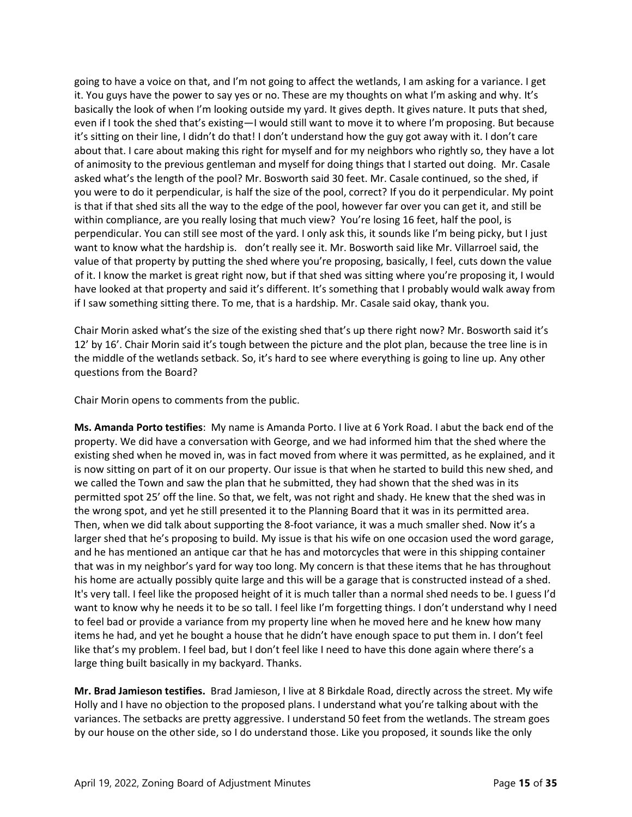going to have a voice on that, and I'm not going to affect the wetlands, I am asking for a variance. I get it. You guys have the power to say yes or no. These are my thoughts on what I'm asking and why. It's basically the look of when I'm looking outside my yard. It gives depth. It gives nature. It puts that shed, even if I took the shed that's existing—I would still want to move it to where I'm proposing. But because it's sitting on their line, I didn't do that! I don't understand how the guy got away with it. I don't care about that. I care about making this right for myself and for my neighbors who rightly so, they have a lot of animosity to the previous gentleman and myself for doing things that I started out doing. Mr. Casale asked what's the length of the pool? Mr. Bosworth said 30 feet. Mr. Casale continued, so the shed, if you were to do it perpendicular, is half the size of the pool, correct? If you do it perpendicular. My point is that if that shed sits all the way to the edge of the pool, however far over you can get it, and still be within compliance, are you really losing that much view? You're losing 16 feet, half the pool, is perpendicular. You can still see most of the yard. I only ask this, it sounds like I'm being picky, but I just want to know what the hardship is. don't really see it. Mr. Bosworth said like Mr. Villarroel said, the value of that property by putting the shed where you're proposing, basically, I feel, cuts down the value of it. I know the market is great right now, but if that shed was sitting where you're proposing it, I would have looked at that property and said it's different. It's something that I probably would walk away from if I saw something sitting there. To me, that is a hardship. Mr. Casale said okay, thank you.

Chair Morin asked what's the size of the existing shed that's up there right now? Mr. Bosworth said it's 12' by 16'. Chair Morin said it's tough between the picture and the plot plan, because the tree line is in the middle of the wetlands setback. So, it's hard to see where everything is going to line up. Any other questions from the Board?

Chair Morin opens to comments from the public.

**Ms. Amanda Porto testifies**: My name is Amanda Porto. I live at 6 York Road. I abut the back end of the property. We did have a conversation with George, and we had informed him that the shed where the existing shed when he moved in, was in fact moved from where it was permitted, as he explained, and it is now sitting on part of it on our property. Our issue is that when he started to build this new shed, and we called the Town and saw the plan that he submitted, they had shown that the shed was in its permitted spot 25' off the line. So that, we felt, was not right and shady. He knew that the shed was in the wrong spot, and yet he still presented it to the Planning Board that it was in its permitted area. Then, when we did talk about supporting the 8-foot variance, it was a much smaller shed. Now it's a larger shed that he's proposing to build. My issue is that his wife on one occasion used the word garage, and he has mentioned an antique car that he has and motorcycles that were in this shipping container that was in my neighbor's yard for way too long. My concern is that these items that he has throughout his home are actually possibly quite large and this will be a garage that is constructed instead of a shed. It's very tall. I feel like the proposed height of it is much taller than a normal shed needs to be. I guess I'd want to know why he needs it to be so tall. I feel like I'm forgetting things. I don't understand why I need to feel bad or provide a variance from my property line when he moved here and he knew how many items he had, and yet he bought a house that he didn't have enough space to put them in. I don't feel like that's my problem. I feel bad, but I don't feel like I need to have this done again where there's a large thing built basically in my backyard. Thanks.

**Mr. Brad Jamieson testifies.** Brad Jamieson, I live at 8 Birkdale Road, directly across the street. My wife Holly and I have no objection to the proposed plans. I understand what you're talking about with the variances. The setbacks are pretty aggressive. I understand 50 feet from the wetlands. The stream goes by our house on the other side, so I do understand those. Like you proposed, it sounds like the only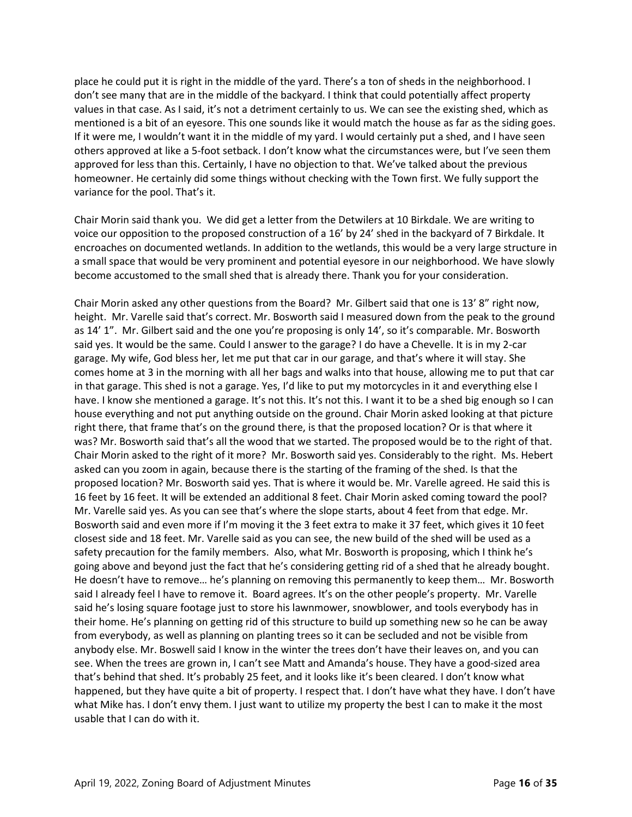place he could put it is right in the middle of the yard. There's a ton of sheds in the neighborhood. I don't see many that are in the middle of the backyard. I think that could potentially affect property values in that case. As I said, it's not a detriment certainly to us. We can see the existing shed, which as mentioned is a bit of an eyesore. This one sounds like it would match the house as far as the siding goes. If it were me, I wouldn't want it in the middle of my yard. I would certainly put a shed, and I have seen others approved at like a 5-foot setback. I don't know what the circumstances were, but I've seen them approved for less than this. Certainly, I have no objection to that. We've talked about the previous homeowner. He certainly did some things without checking with the Town first. We fully support the variance for the pool. That's it.

Chair Morin said thank you. We did get a letter from the Detwilers at 10 Birkdale. We are writing to voice our opposition to the proposed construction of a 16' by 24' shed in the backyard of 7 Birkdale. It encroaches on documented wetlands. In addition to the wetlands, this would be a very large structure in a small space that would be very prominent and potential eyesore in our neighborhood. We have slowly become accustomed to the small shed that is already there. Thank you for your consideration.

Chair Morin asked any other questions from the Board? Mr. Gilbert said that one is 13' 8" right now, height. Mr. Varelle said that's correct. Mr. Bosworth said I measured down from the peak to the ground as 14' 1". Mr. Gilbert said and the one you're proposing is only 14', so it's comparable. Mr. Bosworth said yes. It would be the same. Could I answer to the garage? I do have a Chevelle. It is in my 2-car garage. My wife, God bless her, let me put that car in our garage, and that's where it will stay. She comes home at 3 in the morning with all her bags and walks into that house, allowing me to put that car in that garage. This shed is not a garage. Yes, I'd like to put my motorcycles in it and everything else I have. I know she mentioned a garage. It's not this. It's not this. I want it to be a shed big enough so I can house everything and not put anything outside on the ground. Chair Morin asked looking at that picture right there, that frame that's on the ground there, is that the proposed location? Or is that where it was? Mr. Bosworth said that's all the wood that we started. The proposed would be to the right of that. Chair Morin asked to the right of it more? Mr. Bosworth said yes. Considerably to the right. Ms. Hebert asked can you zoom in again, because there is the starting of the framing of the shed. Is that the proposed location? Mr. Bosworth said yes. That is where it would be. Mr. Varelle agreed. He said this is 16 feet by 16 feet. It will be extended an additional 8 feet. Chair Morin asked coming toward the pool? Mr. Varelle said yes. As you can see that's where the slope starts, about 4 feet from that edge. Mr. Bosworth said and even more if I'm moving it the 3 feet extra to make it 37 feet, which gives it 10 feet closest side and 18 feet. Mr. Varelle said as you can see, the new build of the shed will be used as a safety precaution for the family members. Also, what Mr. Bosworth is proposing, which I think he's going above and beyond just the fact that he's considering getting rid of a shed that he already bought. He doesn't have to remove… he's planning on removing this permanently to keep them… Mr. Bosworth said I already feel I have to remove it. Board agrees. It's on the other people's property. Mr. Varelle said he's losing square footage just to store his lawnmower, snowblower, and tools everybody has in their home. He's planning on getting rid of this structure to build up something new so he can be away from everybody, as well as planning on planting trees so it can be secluded and not be visible from anybody else. Mr. Boswell said I know in the winter the trees don't have their leaves on, and you can see. When the trees are grown in, I can't see Matt and Amanda's house. They have a good-sized area that's behind that shed. It's probably 25 feet, and it looks like it's been cleared. I don't know what happened, but they have quite a bit of property. I respect that. I don't have what they have. I don't have what Mike has. I don't envy them. I just want to utilize my property the best I can to make it the most usable that I can do with it.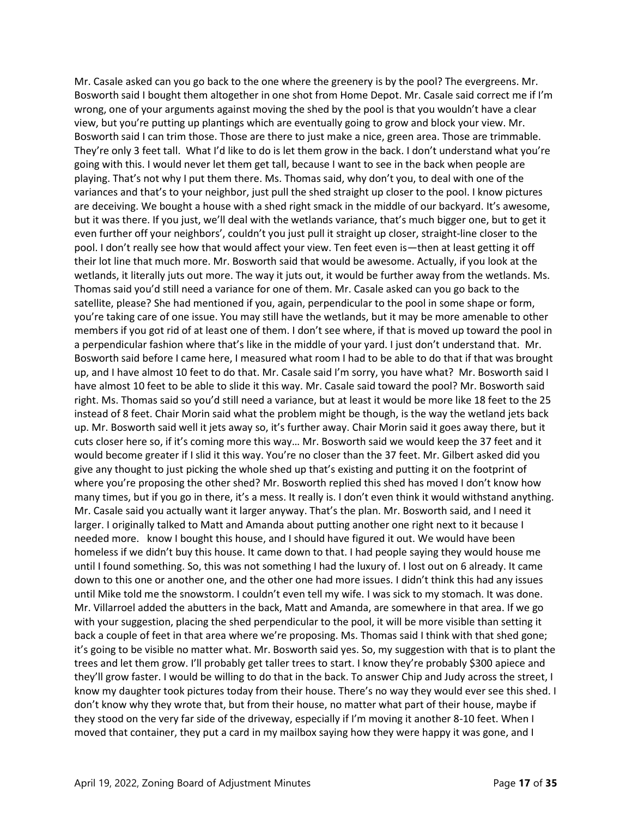Mr. Casale asked can you go back to the one where the greenery is by the pool? The evergreens. Mr. Bosworth said I bought them altogether in one shot from Home Depot. Mr. Casale said correct me if I'm wrong, one of your arguments against moving the shed by the pool is that you wouldn't have a clear view, but you're putting up plantings which are eventually going to grow and block your view. Mr. Bosworth said I can trim those. Those are there to just make a nice, green area. Those are trimmable. They're only 3 feet tall. What I'd like to do is let them grow in the back. I don't understand what you're going with this. I would never let them get tall, because I want to see in the back when people are playing. That's not why I put them there. Ms. Thomas said, why don't you, to deal with one of the variances and that's to your neighbor, just pull the shed straight up closer to the pool. I know pictures are deceiving. We bought a house with a shed right smack in the middle of our backyard. It's awesome, but it was there. If you just, we'll deal with the wetlands variance, that's much bigger one, but to get it even further off your neighbors', couldn't you just pull it straight up closer, straight-line closer to the pool. I don't really see how that would affect your view. Ten feet even is—then at least getting it off their lot line that much more. Mr. Bosworth said that would be awesome. Actually, if you look at the wetlands, it literally juts out more. The way it juts out, it would be further away from the wetlands. Ms. Thomas said you'd still need a variance for one of them. Mr. Casale asked can you go back to the satellite, please? She had mentioned if you, again, perpendicular to the pool in some shape or form, you're taking care of one issue. You may still have the wetlands, but it may be more amenable to other members if you got rid of at least one of them. I don't see where, if that is moved up toward the pool in a perpendicular fashion where that's like in the middle of your yard. I just don't understand that. Mr. Bosworth said before I came here, I measured what room I had to be able to do that if that was brought up, and I have almost 10 feet to do that. Mr. Casale said I'm sorry, you have what? Mr. Bosworth said I have almost 10 feet to be able to slide it this way. Mr. Casale said toward the pool? Mr. Bosworth said right. Ms. Thomas said so you'd still need a variance, but at least it would be more like 18 feet to the 25 instead of 8 feet. Chair Morin said what the problem might be though, is the way the wetland jets back up. Mr. Bosworth said well it jets away so, it's further away. Chair Morin said it goes away there, but it cuts closer here so, if it's coming more this way… Mr. Bosworth said we would keep the 37 feet and it would become greater if I slid it this way. You're no closer than the 37 feet. Mr. Gilbert asked did you give any thought to just picking the whole shed up that's existing and putting it on the footprint of where you're proposing the other shed? Mr. Bosworth replied this shed has moved I don't know how many times, but if you go in there, it's a mess. It really is. I don't even think it would withstand anything. Mr. Casale said you actually want it larger anyway. That's the plan. Mr. Bosworth said, and I need it larger. I originally talked to Matt and Amanda about putting another one right next to it because I needed more. know I bought this house, and I should have figured it out. We would have been homeless if we didn't buy this house. It came down to that. I had people saying they would house me until I found something. So, this was not something I had the luxury of. I lost out on 6 already. It came down to this one or another one, and the other one had more issues. I didn't think this had any issues until Mike told me the snowstorm. I couldn't even tell my wife. I was sick to my stomach. It was done. Mr. Villarroel added the abutters in the back, Matt and Amanda, are somewhere in that area. If we go with your suggestion, placing the shed perpendicular to the pool, it will be more visible than setting it back a couple of feet in that area where we're proposing. Ms. Thomas said I think with that shed gone; it's going to be visible no matter what. Mr. Bosworth said yes. So, my suggestion with that is to plant the trees and let them grow. I'll probably get taller trees to start. I know they're probably \$300 apiece and they'll grow faster. I would be willing to do that in the back. To answer Chip and Judy across the street, I know my daughter took pictures today from their house. There's no way they would ever see this shed. I don't know why they wrote that, but from their house, no matter what part of their house, maybe if they stood on the very far side of the driveway, especially if I'm moving it another 8-10 feet. When I moved that container, they put a card in my mailbox saying how they were happy it was gone, and I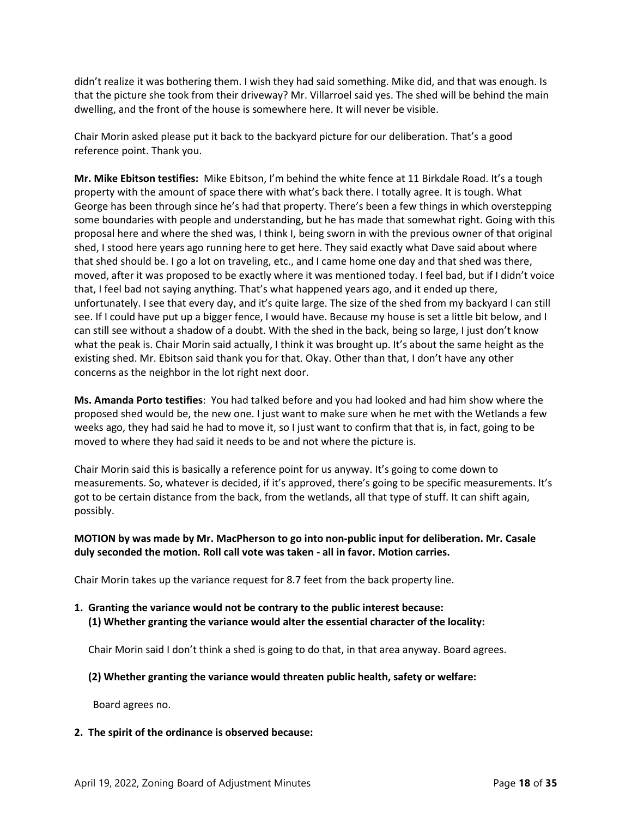didn't realize it was bothering them. I wish they had said something. Mike did, and that was enough. Is that the picture she took from their driveway? Mr. Villarroel said yes. The shed will be behind the main dwelling, and the front of the house is somewhere here. It will never be visible.

Chair Morin asked please put it back to the backyard picture for our deliberation. That's a good reference point. Thank you.

**Mr. Mike Ebitson testifies:** Mike Ebitson, I'm behind the white fence at 11 Birkdale Road. It's a tough property with the amount of space there with what's back there. I totally agree. It is tough. What George has been through since he's had that property. There's been a few things in which overstepping some boundaries with people and understanding, but he has made that somewhat right. Going with this proposal here and where the shed was, I think I, being sworn in with the previous owner of that original shed, I stood here years ago running here to get here. They said exactly what Dave said about where that shed should be. I go a lot on traveling, etc., and I came home one day and that shed was there, moved, after it was proposed to be exactly where it was mentioned today. I feel bad, but if I didn't voice that, I feel bad not saying anything. That's what happened years ago, and it ended up there, unfortunately. I see that every day, and it's quite large. The size of the shed from my backyard I can still see. If I could have put up a bigger fence, I would have. Because my house is set a little bit below, and I can still see without a shadow of a doubt. With the shed in the back, being so large, I just don't know what the peak is. Chair Morin said actually, I think it was brought up. It's about the same height as the existing shed. Mr. Ebitson said thank you for that. Okay. Other than that, I don't have any other concerns as the neighbor in the lot right next door.

**Ms. Amanda Porto testifies**: You had talked before and you had looked and had him show where the proposed shed would be, the new one. I just want to make sure when he met with the Wetlands a few weeks ago, they had said he had to move it, so I just want to confirm that that is, in fact, going to be moved to where they had said it needs to be and not where the picture is.

Chair Morin said this is basically a reference point for us anyway. It's going to come down to measurements. So, whatever is decided, if it's approved, there's going to be specific measurements. It's got to be certain distance from the back, from the wetlands, all that type of stuff. It can shift again, possibly.

# **MOTION by was made by Mr. MacPherson to go into non-public input for deliberation. Mr. Casale duly seconded the motion. Roll call vote was taken - all in favor. Motion carries.**

Chair Morin takes up the variance request for 8.7 feet from the back property line.

# **1. Granting the variance would not be contrary to the public interest because: (1) Whether granting the variance would alter the essential character of the locality:**

Chair Morin said I don't think a shed is going to do that, in that area anyway. Board agrees.

# **(2) Whether granting the variance would threaten public health, safety or welfare:**

Board agrees no.

# **2. The spirit of the ordinance is observed because:**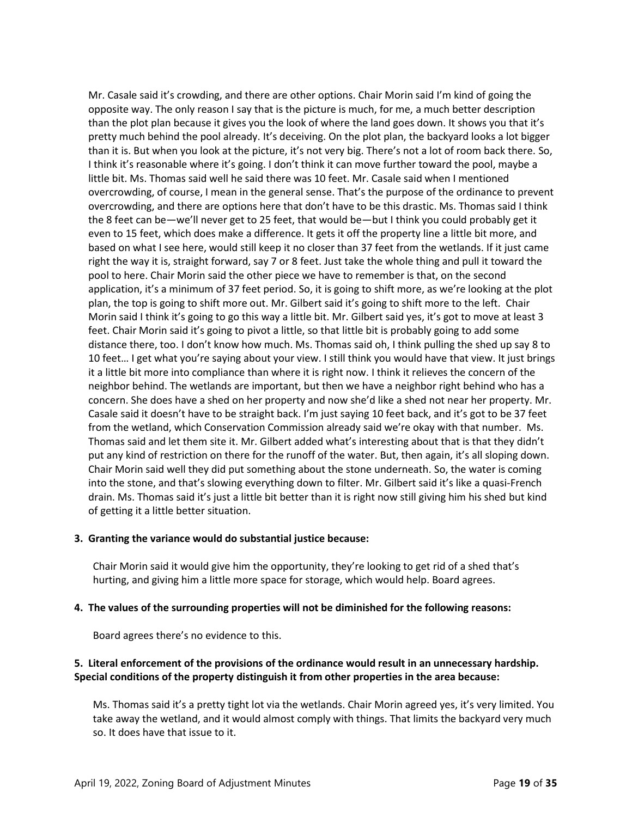Mr. Casale said it's crowding, and there are other options. Chair Morin said I'm kind of going the opposite way. The only reason I say that is the picture is much, for me, a much better description than the plot plan because it gives you the look of where the land goes down. It shows you that it's pretty much behind the pool already. It's deceiving. On the plot plan, the backyard looks a lot bigger than it is. But when you look at the picture, it's not very big. There's not a lot of room back there. So, I think it's reasonable where it's going. I don't think it can move further toward the pool, maybe a little bit. Ms. Thomas said well he said there was 10 feet. Mr. Casale said when I mentioned overcrowding, of course, I mean in the general sense. That's the purpose of the ordinance to prevent overcrowding, and there are options here that don't have to be this drastic. Ms. Thomas said I think the 8 feet can be—we'll never get to 25 feet, that would be—but I think you could probably get it even to 15 feet, which does make a difference. It gets it off the property line a little bit more, and based on what I see here, would still keep it no closer than 37 feet from the wetlands. If it just came right the way it is, straight forward, say 7 or 8 feet. Just take the whole thing and pull it toward the pool to here. Chair Morin said the other piece we have to remember is that, on the second application, it's a minimum of 37 feet period. So, it is going to shift more, as we're looking at the plot plan, the top is going to shift more out. Mr. Gilbert said it's going to shift more to the left. Chair Morin said I think it's going to go this way a little bit. Mr. Gilbert said yes, it's got to move at least 3 feet. Chair Morin said it's going to pivot a little, so that little bit is probably going to add some distance there, too. I don't know how much. Ms. Thomas said oh, I think pulling the shed up say 8 to 10 feet… I get what you're saying about your view. I still think you would have that view. It just brings it a little bit more into compliance than where it is right now. I think it relieves the concern of the neighbor behind. The wetlands are important, but then we have a neighbor right behind who has a concern. She does have a shed on her property and now she'd like a shed not near her property. Mr. Casale said it doesn't have to be straight back. I'm just saying 10 feet back, and it's got to be 37 feet from the wetland, which Conservation Commission already said we're okay with that number. Ms. Thomas said and let them site it. Mr. Gilbert added what's interesting about that is that they didn't put any kind of restriction on there for the runoff of the water. But, then again, it's all sloping down. Chair Morin said well they did put something about the stone underneath. So, the water is coming into the stone, and that's slowing everything down to filter. Mr. Gilbert said it's like a quasi-French drain. Ms. Thomas said it's just a little bit better than it is right now still giving him his shed but kind of getting it a little better situation.

# **3. Granting the variance would do substantial justice because:**

Chair Morin said it would give him the opportunity, they're looking to get rid of a shed that's hurting, and giving him a little more space for storage, which would help. Board agrees.

#### **4. The values of the surrounding properties will not be diminished for the following reasons:**

Board agrees there's no evidence to this.

# **5. Literal enforcement of the provisions of the ordinance would result in an unnecessary hardship. Special conditions of the property distinguish it from other properties in the area because:**

Ms. Thomas said it's a pretty tight lot via the wetlands. Chair Morin agreed yes, it's very limited. You take away the wetland, and it would almost comply with things. That limits the backyard very much so. It does have that issue to it.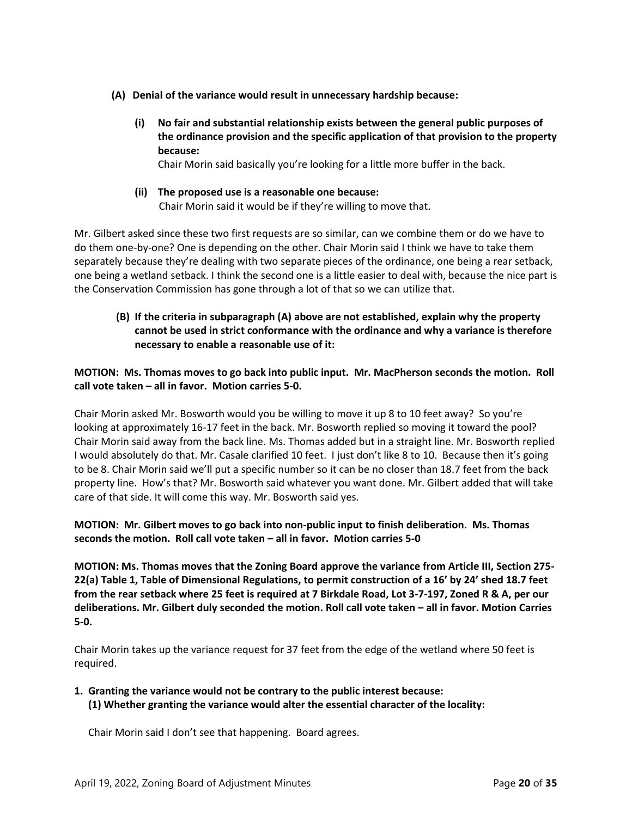- **(A) Denial of the variance would result in unnecessary hardship because:**
	- **(i) No fair and substantial relationship exists between the general public purposes of the ordinance provision and the specific application of that provision to the property because:**

Chair Morin said basically you're looking for a little more buffer in the back.

**(ii) The proposed use is a reasonable one because:** Chair Morin said it would be if they're willing to move that.

Mr. Gilbert asked since these two first requests are so similar, can we combine them or do we have to do them one-by-one? One is depending on the other. Chair Morin said I think we have to take them separately because they're dealing with two separate pieces of the ordinance, one being a rear setback, one being a wetland setback. I think the second one is a little easier to deal with, because the nice part is the Conservation Commission has gone through a lot of that so we can utilize that.

**(B) If the criteria in subparagraph (A) above are not established, explain why the property cannot be used in strict conformance with the ordinance and why a variance is therefore necessary to enable a reasonable use of it:**

**MOTION: Ms. Thomas moves to go back into public input. Mr. MacPherson seconds the motion. Roll call vote taken – all in favor. Motion carries 5-0.** 

Chair Morin asked Mr. Bosworth would you be willing to move it up 8 to 10 feet away? So you're looking at approximately 16-17 feet in the back. Mr. Bosworth replied so moving it toward the pool? Chair Morin said away from the back line. Ms. Thomas added but in a straight line. Mr. Bosworth replied I would absolutely do that. Mr. Casale clarified 10 feet. I just don't like 8 to 10. Because then it's going to be 8. Chair Morin said we'll put a specific number so it can be no closer than 18.7 feet from the back property line. How's that? Mr. Bosworth said whatever you want done. Mr. Gilbert added that will take care of that side. It will come this way. Mr. Bosworth said yes.

**MOTION: Mr. Gilbert moves to go back into non-public input to finish deliberation. Ms. Thomas seconds the motion. Roll call vote taken – all in favor. Motion carries 5-0**

**MOTION: Ms. Thomas moves that the Zoning Board approve the variance from Article III, Section 275- 22(a) Table 1, Table of Dimensional Regulations, to permit construction of a 16' by 24' shed 18.7 feet from the rear setback where 25 feet is required at 7 Birkdale Road, Lot 3-7-197, Zoned R & A, per our deliberations. Mr. Gilbert duly seconded the motion. Roll call vote taken – all in favor. Motion Carries 5-0.**

Chair Morin takes up the variance request for 37 feet from the edge of the wetland where 50 feet is required.

**1. Granting the variance would not be contrary to the public interest because: (1) Whether granting the variance would alter the essential character of the locality:**

Chair Morin said I don't see that happening. Board agrees.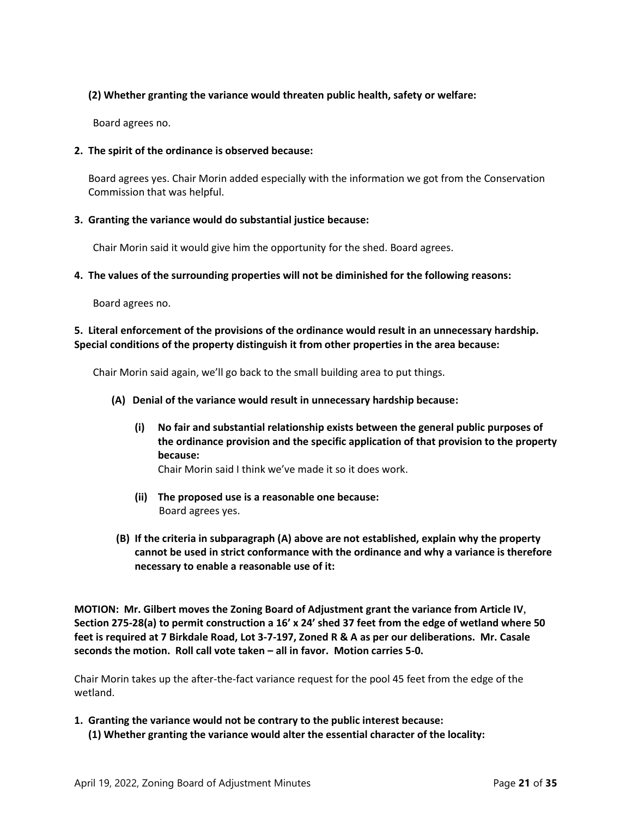# **(2) Whether granting the variance would threaten public health, safety or welfare:**

Board agrees no.

# **2. The spirit of the ordinance is observed because:**

Board agrees yes. Chair Morin added especially with the information we got from the Conservation Commission that was helpful.

# **3. Granting the variance would do substantial justice because:**

Chair Morin said it would give him the opportunity for the shed. Board agrees.

# **4. The values of the surrounding properties will not be diminished for the following reasons:**

Board agrees no.

# **5. Literal enforcement of the provisions of the ordinance would result in an unnecessary hardship. Special conditions of the property distinguish it from other properties in the area because:**

Chair Morin said again, we'll go back to the small building area to put things.

# **(A) Denial of the variance would result in unnecessary hardship because:**

**(i) No fair and substantial relationship exists between the general public purposes of the ordinance provision and the specific application of that provision to the property because:**

Chair Morin said I think we've made it so it does work.

- **(ii) The proposed use is a reasonable one because:** Board agrees yes.
- **(B) If the criteria in subparagraph (A) above are not established, explain why the property cannot be used in strict conformance with the ordinance and why a variance is therefore necessary to enable a reasonable use of it:**

**MOTION: Mr. Gilbert moves the Zoning Board of Adjustment grant the variance from Article IV**, **Section 275-28(a) to permit construction a 16' x 24' shed 37 feet from the edge of wetland where 50 feet is required at 7 Birkdale Road, Lot 3-7-197, Zoned R & A as per our deliberations. Mr. Casale seconds the motion. Roll call vote taken – all in favor. Motion carries 5-0.**

Chair Morin takes up the after-the-fact variance request for the pool 45 feet from the edge of the wetland.

**1. Granting the variance would not be contrary to the public interest because: (1) Whether granting the variance would alter the essential character of the locality:**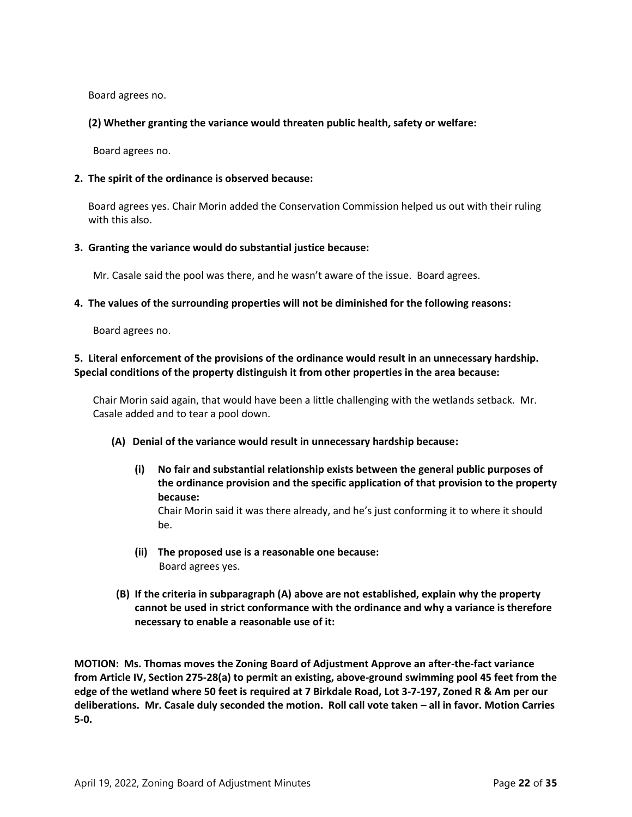Board agrees no.

**(2) Whether granting the variance would threaten public health, safety or welfare:** 

Board agrees no.

# **2. The spirit of the ordinance is observed because:**

Board agrees yes. Chair Morin added the Conservation Commission helped us out with their ruling with this also.

# **3. Granting the variance would do substantial justice because:**

Mr. Casale said the pool was there, and he wasn't aware of the issue. Board agrees.

# **4. The values of the surrounding properties will not be diminished for the following reasons:**

Board agrees no.

# **5. Literal enforcement of the provisions of the ordinance would result in an unnecessary hardship. Special conditions of the property distinguish it from other properties in the area because:**

Chair Morin said again, that would have been a little challenging with the wetlands setback. Mr. Casale added and to tear a pool down.

#### **(A) Denial of the variance would result in unnecessary hardship because:**

**(i) No fair and substantial relationship exists between the general public purposes of the ordinance provision and the specific application of that provision to the property because:**

Chair Morin said it was there already, and he's just conforming it to where it should be.

- **(ii) The proposed use is a reasonable one because:** Board agrees yes.
- **(B) If the criteria in subparagraph (A) above are not established, explain why the property cannot be used in strict conformance with the ordinance and why a variance is therefore necessary to enable a reasonable use of it:**

**MOTION: Ms. Thomas moves the Zoning Board of Adjustment Approve an after-the-fact variance from Article IV, Section 275-28(a) to permit an existing, above-ground swimming pool 45 feet from the edge of the wetland where 50 feet is required at 7 Birkdale Road, Lot 3-7-197, Zoned R & Am per our deliberations. Mr. Casale duly seconded the motion. Roll call vote taken – all in favor. Motion Carries 5-0.**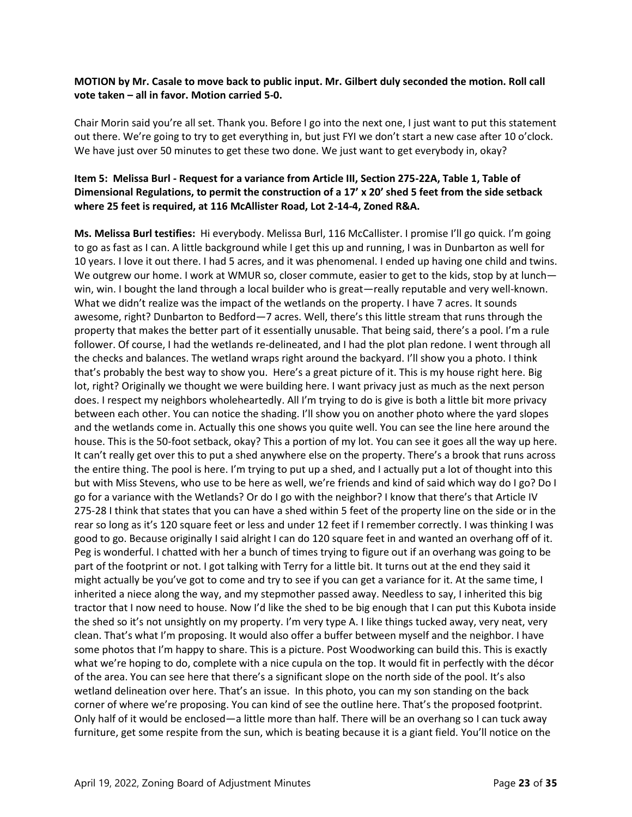# **MOTION by Mr. Casale to move back to public input. Mr. Gilbert duly seconded the motion. Roll call vote taken – all in favor. Motion carried 5-0.**

Chair Morin said you're all set. Thank you. Before I go into the next one, I just want to put this statement out there. We're going to try to get everything in, but just FYI we don't start a new case after 10 o'clock. We have just over 50 minutes to get these two done. We just want to get everybody in, okay?

# **Item 5: Melissa Burl - Request for a variance from Article III, Section 275-22A, Table 1, Table of Dimensional Regulations, to permit the construction of a 17' x 20' shed 5 feet from the side setback where 25 feet is required, at 116 McAllister Road, Lot 2-14-4, Zoned R&A.**

**Ms. Melissa Burl testifies:** Hi everybody. Melissa Burl, 116 McCallister. I promise I'll go quick. I'm going to go as fast as I can. A little background while I get this up and running, I was in Dunbarton as well for 10 years. I love it out there. I had 5 acres, and it was phenomenal. I ended up having one child and twins. We outgrew our home. I work at WMUR so, closer commute, easier to get to the kids, stop by at lunch win, win. I bought the land through a local builder who is great—really reputable and very well-known. What we didn't realize was the impact of the wetlands on the property. I have 7 acres. It sounds awesome, right? Dunbarton to Bedford—7 acres. Well, there's this little stream that runs through the property that makes the better part of it essentially unusable. That being said, there's a pool. I'm a rule follower. Of course, I had the wetlands re-delineated, and I had the plot plan redone. I went through all the checks and balances. The wetland wraps right around the backyard. I'll show you a photo. I think that's probably the best way to show you. Here's a great picture of it. This is my house right here. Big lot, right? Originally we thought we were building here. I want privacy just as much as the next person does. I respect my neighbors wholeheartedly. All I'm trying to do is give is both a little bit more privacy between each other. You can notice the shading. I'll show you on another photo where the yard slopes and the wetlands come in. Actually this one shows you quite well. You can see the line here around the house. This is the 50-foot setback, okay? This a portion of my lot. You can see it goes all the way up here. It can't really get over this to put a shed anywhere else on the property. There's a brook that runs across the entire thing. The pool is here. I'm trying to put up a shed, and I actually put a lot of thought into this but with Miss Stevens, who use to be here as well, we're friends and kind of said which way do I go? Do I go for a variance with the Wetlands? Or do I go with the neighbor? I know that there's that Article IV 275-28 I think that states that you can have a shed within 5 feet of the property line on the side or in the rear so long as it's 120 square feet or less and under 12 feet if I remember correctly. I was thinking I was good to go. Because originally I said alright I can do 120 square feet in and wanted an overhang off of it. Peg is wonderful. I chatted with her a bunch of times trying to figure out if an overhang was going to be part of the footprint or not. I got talking with Terry for a little bit. It turns out at the end they said it might actually be you've got to come and try to see if you can get a variance for it. At the same time, I inherited a niece along the way, and my stepmother passed away. Needless to say, I inherited this big tractor that I now need to house. Now I'd like the shed to be big enough that I can put this Kubota inside the shed so it's not unsightly on my property. I'm very type A. I like things tucked away, very neat, very clean. That's what I'm proposing. It would also offer a buffer between myself and the neighbor. I have some photos that I'm happy to share. This is a picture. Post Woodworking can build this. This is exactly what we're hoping to do, complete with a nice cupula on the top. It would fit in perfectly with the décor of the area. You can see here that there's a significant slope on the north side of the pool. It's also wetland delineation over here. That's an issue. In this photo, you can my son standing on the back corner of where we're proposing. You can kind of see the outline here. That's the proposed footprint. Only half of it would be enclosed—a little more than half. There will be an overhang so I can tuck away furniture, get some respite from the sun, which is beating because it is a giant field. You'll notice on the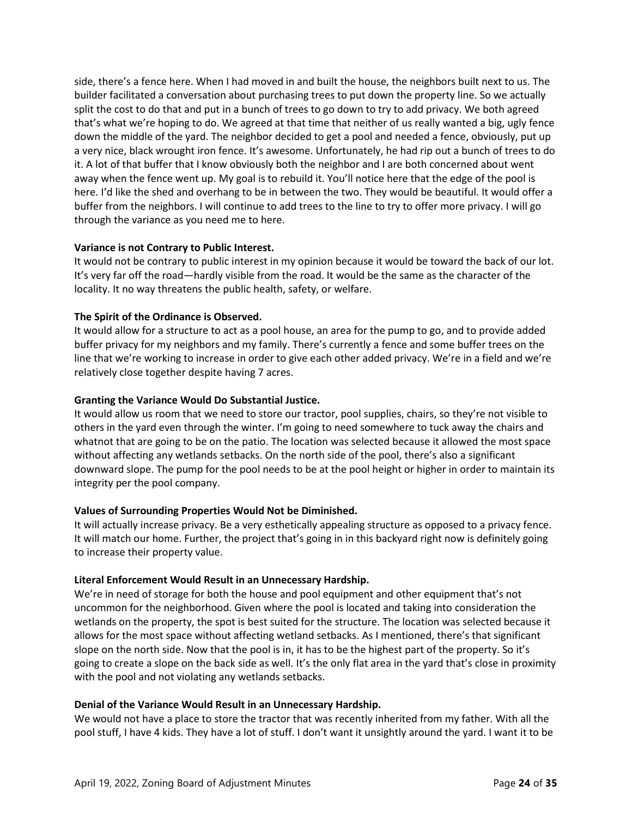side, there's a fence here. When I had moved in and built the house, the neighbors built next to us. The builder facilitated a conversation about purchasing trees to put down the property line. So we actually split the cost to do that and put in a bunch of trees to go down to try to add privacy. We both agreed that's what we're hoping to do. We agreed at that time that neither of us really wanted a big, ugly fence down the middle of the yard. The neighbor decided to get a pool and needed a fence, obviously, put up a very nice, black wrought iron fence. It's awesome. Unfortunately, he had rip out a bunch of trees to do it. A lot of that buffer that I know obviously both the neighbor and I are both concerned about went away when the fence went up. My goal is to rebuild it. You'll notice here that the edge of the pool is here. I'd like the shed and overhang to be in between the two. They would be beautiful. It would offer a buffer from the neighbors. I will continue to add trees to the line to try to offer more privacy. I will go through the variance as you need me to here.

# **Variance is not Contrary to Public Interest.**

It would not be contrary to public interest in my opinion because it would be toward the back of our lot. It's very far off the road—hardly visible from the road. It would be the same as the character of the locality. It no way threatens the public health, safety, or welfare.

# **The Spirit of the Ordinance is Observed.**

It would allow for a structure to act as a pool house, an area for the pump to go, and to provide added buffer privacy for my neighbors and my family. There's currently a fence and some buffer trees on the line that we're working to increase in order to give each other added privacy. We're in a field and we're relatively close together despite having 7 acres.

# **Granting the Variance Would Do Substantial Justice.**

It would allow us room that we need to store our tractor, pool supplies, chairs, so they're not visible to others in the yard even through the winter. I'm going to need somewhere to tuck away the chairs and whatnot that are going to be on the patio. The location was selected because it allowed the most space without affecting any wetlands setbacks. On the north side of the pool, there's also a significant downward slope. The pump for the pool needs to be at the pool height or higher in order to maintain its integrity per the pool company.

#### **Values of Surrounding Properties Would Not be Diminished.**

It will actually increase privacy. Be a very esthetically appealing structure as opposed to a privacy fence. It will match our home. Further, the project that's going in in this backyard right now is definitely going to increase their property value.

#### **Literal Enforcement Would Result in an Unnecessary Hardship.**

We're in need of storage for both the house and pool equipment and other equipment that's not uncommon for the neighborhood. Given where the pool is located and taking into consideration the wetlands on the property, the spot is best suited for the structure. The location was selected because it allows for the most space without affecting wetland setbacks. As I mentioned, there's that significant slope on the north side. Now that the pool is in, it has to be the highest part of the property. So it's going to create a slope on the back side as well. It's the only flat area in the yard that's close in proximity with the pool and not violating any wetlands setbacks.

#### **Denial of the Variance Would Result in an Unnecessary Hardship.**

We would not have a place to store the tractor that was recently inherited from my father. With all the pool stuff, I have 4 kids. They have a lot of stuff. I don't want it unsightly around the yard. I want it to be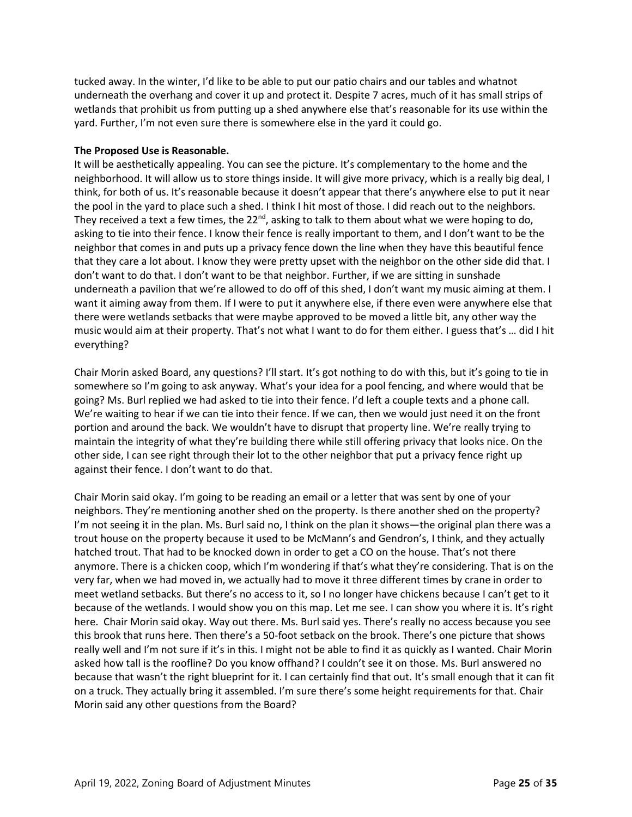tucked away. In the winter, I'd like to be able to put our patio chairs and our tables and whatnot underneath the overhang and cover it up and protect it. Despite 7 acres, much of it has small strips of wetlands that prohibit us from putting up a shed anywhere else that's reasonable for its use within the yard. Further, I'm not even sure there is somewhere else in the yard it could go.

# **The Proposed Use is Reasonable.**

It will be aesthetically appealing. You can see the picture. It's complementary to the home and the neighborhood. It will allow us to store things inside. It will give more privacy, which is a really big deal, I think, for both of us. It's reasonable because it doesn't appear that there's anywhere else to put it near the pool in the yard to place such a shed. I think I hit most of those. I did reach out to the neighbors. They received a text a few times, the 22<sup>nd</sup>, asking to talk to them about what we were hoping to do, asking to tie into their fence. I know their fence is really important to them, and I don't want to be the neighbor that comes in and puts up a privacy fence down the line when they have this beautiful fence that they care a lot about. I know they were pretty upset with the neighbor on the other side did that. I don't want to do that. I don't want to be that neighbor. Further, if we are sitting in sunshade underneath a pavilion that we're allowed to do off of this shed, I don't want my music aiming at them. I want it aiming away from them. If I were to put it anywhere else, if there even were anywhere else that there were wetlands setbacks that were maybe approved to be moved a little bit, any other way the music would aim at their property. That's not what I want to do for them either. I guess that's … did I hit everything?

Chair Morin asked Board, any questions? I'll start. It's got nothing to do with this, but it's going to tie in somewhere so I'm going to ask anyway. What's your idea for a pool fencing, and where would that be going? Ms. Burl replied we had asked to tie into their fence. I'd left a couple texts and a phone call. We're waiting to hear if we can tie into their fence. If we can, then we would just need it on the front portion and around the back. We wouldn't have to disrupt that property line. We're really trying to maintain the integrity of what they're building there while still offering privacy that looks nice. On the other side, I can see right through their lot to the other neighbor that put a privacy fence right up against their fence. I don't want to do that.

Chair Morin said okay. I'm going to be reading an email or a letter that was sent by one of your neighbors. They're mentioning another shed on the property. Is there another shed on the property? I'm not seeing it in the plan. Ms. Burl said no, I think on the plan it shows—the original plan there was a trout house on the property because it used to be McMann's and Gendron's, I think, and they actually hatched trout. That had to be knocked down in order to get a CO on the house. That's not there anymore. There is a chicken coop, which I'm wondering if that's what they're considering. That is on the very far, when we had moved in, we actually had to move it three different times by crane in order to meet wetland setbacks. But there's no access to it, so I no longer have chickens because I can't get to it because of the wetlands. I would show you on this map. Let me see. I can show you where it is. It's right here. Chair Morin said okay. Way out there. Ms. Burl said yes. There's really no access because you see this brook that runs here. Then there's a 50-foot setback on the brook. There's one picture that shows really well and I'm not sure if it's in this. I might not be able to find it as quickly as I wanted. Chair Morin asked how tall is the roofline? Do you know offhand? I couldn't see it on those. Ms. Burl answered no because that wasn't the right blueprint for it. I can certainly find that out. It's small enough that it can fit on a truck. They actually bring it assembled. I'm sure there's some height requirements for that. Chair Morin said any other questions from the Board?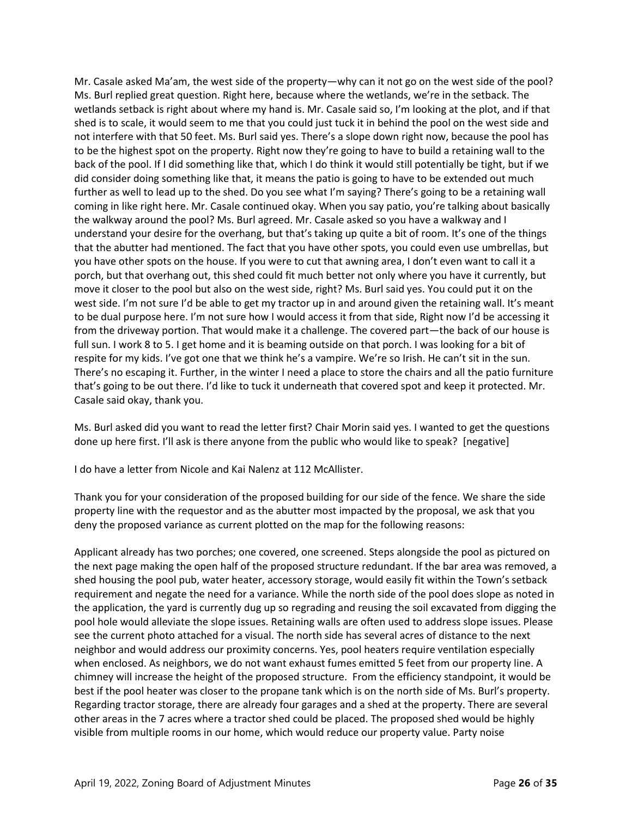Mr. Casale asked Ma'am, the west side of the property—why can it not go on the west side of the pool? Ms. Burl replied great question. Right here, because where the wetlands, we're in the setback. The wetlands setback is right about where my hand is. Mr. Casale said so, I'm looking at the plot, and if that shed is to scale, it would seem to me that you could just tuck it in behind the pool on the west side and not interfere with that 50 feet. Ms. Burl said yes. There's a slope down right now, because the pool has to be the highest spot on the property. Right now they're going to have to build a retaining wall to the back of the pool. If I did something like that, which I do think it would still potentially be tight, but if we did consider doing something like that, it means the patio is going to have to be extended out much further as well to lead up to the shed. Do you see what I'm saying? There's going to be a retaining wall coming in like right here. Mr. Casale continued okay. When you say patio, you're talking about basically the walkway around the pool? Ms. Burl agreed. Mr. Casale asked so you have a walkway and I understand your desire for the overhang, but that's taking up quite a bit of room. It's one of the things that the abutter had mentioned. The fact that you have other spots, you could even use umbrellas, but you have other spots on the house. If you were to cut that awning area, I don't even want to call it a porch, but that overhang out, this shed could fit much better not only where you have it currently, but move it closer to the pool but also on the west side, right? Ms. Burl said yes. You could put it on the west side. I'm not sure I'd be able to get my tractor up in and around given the retaining wall. It's meant to be dual purpose here. I'm not sure how I would access it from that side, Right now I'd be accessing it from the driveway portion. That would make it a challenge. The covered part—the back of our house is full sun. I work 8 to 5. I get home and it is beaming outside on that porch. I was looking for a bit of respite for my kids. I've got one that we think he's a vampire. We're so Irish. He can't sit in the sun. There's no escaping it. Further, in the winter I need a place to store the chairs and all the patio furniture that's going to be out there. I'd like to tuck it underneath that covered spot and keep it protected. Mr. Casale said okay, thank you.

Ms. Burl asked did you want to read the letter first? Chair Morin said yes. I wanted to get the questions done up here first. I'll ask is there anyone from the public who would like to speak? [negative]

I do have a letter from Nicole and Kai Nalenz at 112 McAllister.

Thank you for your consideration of the proposed building for our side of the fence. We share the side property line with the requestor and as the abutter most impacted by the proposal, we ask that you deny the proposed variance as current plotted on the map for the following reasons:

Applicant already has two porches; one covered, one screened. Steps alongside the pool as pictured on the next page making the open half of the proposed structure redundant. If the bar area was removed, a shed housing the pool pub, water heater, accessory storage, would easily fit within the Town's setback requirement and negate the need for a variance. While the north side of the pool does slope as noted in the application, the yard is currently dug up so regrading and reusing the soil excavated from digging the pool hole would alleviate the slope issues. Retaining walls are often used to address slope issues. Please see the current photo attached for a visual. The north side has several acres of distance to the next neighbor and would address our proximity concerns. Yes, pool heaters require ventilation especially when enclosed. As neighbors, we do not want exhaust fumes emitted 5 feet from our property line. A chimney will increase the height of the proposed structure. From the efficiency standpoint, it would be best if the pool heater was closer to the propane tank which is on the north side of Ms. Burl's property. Regarding tractor storage, there are already four garages and a shed at the property. There are several other areas in the 7 acres where a tractor shed could be placed. The proposed shed would be highly visible from multiple rooms in our home, which would reduce our property value. Party noise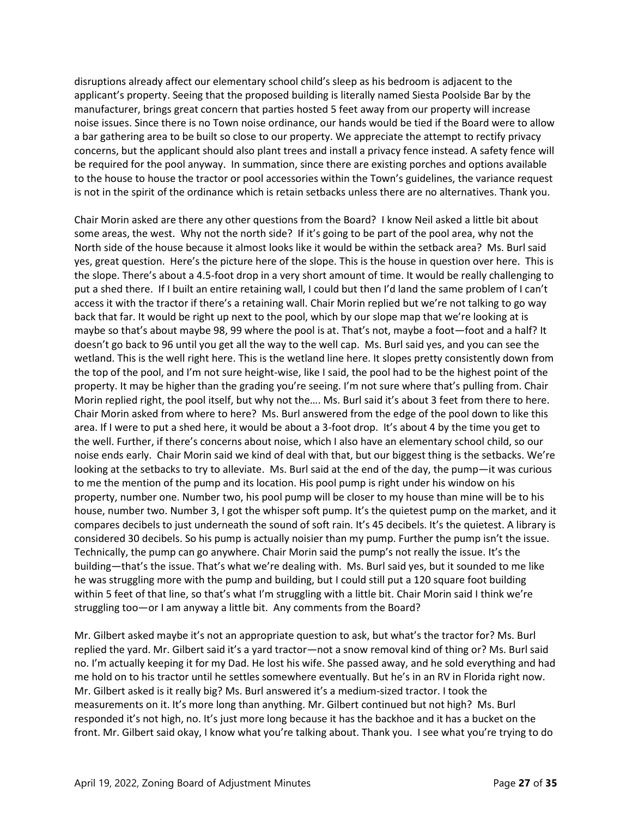disruptions already affect our elementary school child's sleep as his bedroom is adjacent to the applicant's property. Seeing that the proposed building is literally named Siesta Poolside Bar by the manufacturer, brings great concern that parties hosted 5 feet away from our property will increase noise issues. Since there is no Town noise ordinance, our hands would be tied if the Board were to allow a bar gathering area to be built so close to our property. We appreciate the attempt to rectify privacy concerns, but the applicant should also plant trees and install a privacy fence instead. A safety fence will be required for the pool anyway. In summation, since there are existing porches and options available to the house to house the tractor or pool accessories within the Town's guidelines, the variance request is not in the spirit of the ordinance which is retain setbacks unless there are no alternatives. Thank you.

Chair Morin asked are there any other questions from the Board? I know Neil asked a little bit about some areas, the west. Why not the north side? If it's going to be part of the pool area, why not the North side of the house because it almost looks like it would be within the setback area? Ms. Burl said yes, great question. Here's the picture here of the slope. This is the house in question over here. This is the slope. There's about a 4.5-foot drop in a very short amount of time. It would be really challenging to put a shed there. If I built an entire retaining wall, I could but then I'd land the same problem of I can't access it with the tractor if there's a retaining wall. Chair Morin replied but we're not talking to go way back that far. It would be right up next to the pool, which by our slope map that we're looking at is maybe so that's about maybe 98, 99 where the pool is at. That's not, maybe a foot—foot and a half? It doesn't go back to 96 until you get all the way to the well cap. Ms. Burl said yes, and you can see the wetland. This is the well right here. This is the wetland line here. It slopes pretty consistently down from the top of the pool, and I'm not sure height-wise, like I said, the pool had to be the highest point of the property. It may be higher than the grading you're seeing. I'm not sure where that's pulling from. Chair Morin replied right, the pool itself, but why not the…. Ms. Burl said it's about 3 feet from there to here. Chair Morin asked from where to here? Ms. Burl answered from the edge of the pool down to like this area. If I were to put a shed here, it would be about a 3-foot drop. It's about 4 by the time you get to the well. Further, if there's concerns about noise, which I also have an elementary school child, so our noise ends early. Chair Morin said we kind of deal with that, but our biggest thing is the setbacks. We're looking at the setbacks to try to alleviate. Ms. Burl said at the end of the day, the pump—it was curious to me the mention of the pump and its location. His pool pump is right under his window on his property, number one. Number two, his pool pump will be closer to my house than mine will be to his house, number two. Number 3, I got the whisper soft pump. It's the quietest pump on the market, and it compares decibels to just underneath the sound of soft rain. It's 45 decibels. It's the quietest. A library is considered 30 decibels. So his pump is actually noisier than my pump. Further the pump isn't the issue. Technically, the pump can go anywhere. Chair Morin said the pump's not really the issue. It's the building—that's the issue. That's what we're dealing with. Ms. Burl said yes, but it sounded to me like he was struggling more with the pump and building, but I could still put a 120 square foot building within 5 feet of that line, so that's what I'm struggling with a little bit. Chair Morin said I think we're struggling too—or I am anyway a little bit. Any comments from the Board?

Mr. Gilbert asked maybe it's not an appropriate question to ask, but what's the tractor for? Ms. Burl replied the yard. Mr. Gilbert said it's a yard tractor—not a snow removal kind of thing or? Ms. Burl said no. I'm actually keeping it for my Dad. He lost his wife. She passed away, and he sold everything and had me hold on to his tractor until he settles somewhere eventually. But he's in an RV in Florida right now. Mr. Gilbert asked is it really big? Ms. Burl answered it's a medium-sized tractor. I took the measurements on it. It's more long than anything. Mr. Gilbert continued but not high? Ms. Burl responded it's not high, no. It's just more long because it has the backhoe and it has a bucket on the front. Mr. Gilbert said okay, I know what you're talking about. Thank you. I see what you're trying to do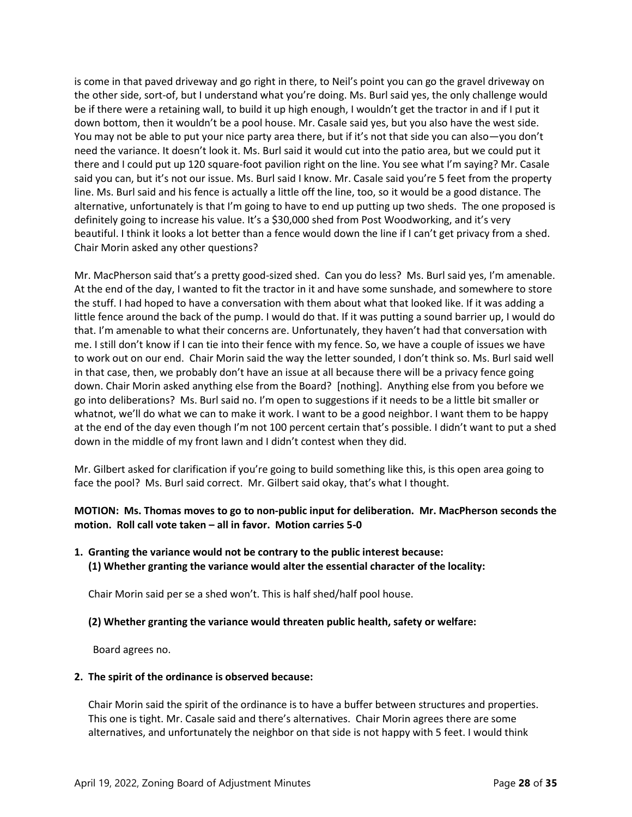is come in that paved driveway and go right in there, to Neil's point you can go the gravel driveway on the other side, sort-of, but I understand what you're doing. Ms. Burl said yes, the only challenge would be if there were a retaining wall, to build it up high enough, I wouldn't get the tractor in and if I put it down bottom, then it wouldn't be a pool house. Mr. Casale said yes, but you also have the west side. You may not be able to put your nice party area there, but if it's not that side you can also—you don't need the variance. It doesn't look it. Ms. Burl said it would cut into the patio area, but we could put it there and I could put up 120 square-foot pavilion right on the line. You see what I'm saying? Mr. Casale said you can, but it's not our issue. Ms. Burl said I know. Mr. Casale said you're 5 feet from the property line. Ms. Burl said and his fence is actually a little off the line, too, so it would be a good distance. The alternative, unfortunately is that I'm going to have to end up putting up two sheds. The one proposed is definitely going to increase his value. It's a \$30,000 shed from Post Woodworking, and it's very beautiful. I think it looks a lot better than a fence would down the line if I can't get privacy from a shed. Chair Morin asked any other questions?

Mr. MacPherson said that's a pretty good-sized shed. Can you do less? Ms. Burl said yes, I'm amenable. At the end of the day, I wanted to fit the tractor in it and have some sunshade, and somewhere to store the stuff. I had hoped to have a conversation with them about what that looked like. If it was adding a little fence around the back of the pump. I would do that. If it was putting a sound barrier up, I would do that. I'm amenable to what their concerns are. Unfortunately, they haven't had that conversation with me. I still don't know if I can tie into their fence with my fence. So, we have a couple of issues we have to work out on our end. Chair Morin said the way the letter sounded, I don't think so. Ms. Burl said well in that case, then, we probably don't have an issue at all because there will be a privacy fence going down. Chair Morin asked anything else from the Board? [nothing]. Anything else from you before we go into deliberations? Ms. Burl said no. I'm open to suggestions if it needs to be a little bit smaller or whatnot, we'll do what we can to make it work. I want to be a good neighbor. I want them to be happy at the end of the day even though I'm not 100 percent certain that's possible. I didn't want to put a shed down in the middle of my front lawn and I didn't contest when they did.

Mr. Gilbert asked for clarification if you're going to build something like this, is this open area going to face the pool? Ms. Burl said correct. Mr. Gilbert said okay, that's what I thought.

# **MOTION: Ms. Thomas moves to go to non-public input for deliberation. Mr. MacPherson seconds the motion. Roll call vote taken – all in favor. Motion carries 5-0**

**1. Granting the variance would not be contrary to the public interest because: (1) Whether granting the variance would alter the essential character of the locality:**

Chair Morin said per se a shed won't. This is half shed/half pool house.

# **(2) Whether granting the variance would threaten public health, safety or welfare:**

Board agrees no.

# **2. The spirit of the ordinance is observed because:**

Chair Morin said the spirit of the ordinance is to have a buffer between structures and properties. This one is tight. Mr. Casale said and there's alternatives. Chair Morin agrees there are some alternatives, and unfortunately the neighbor on that side is not happy with 5 feet. I would think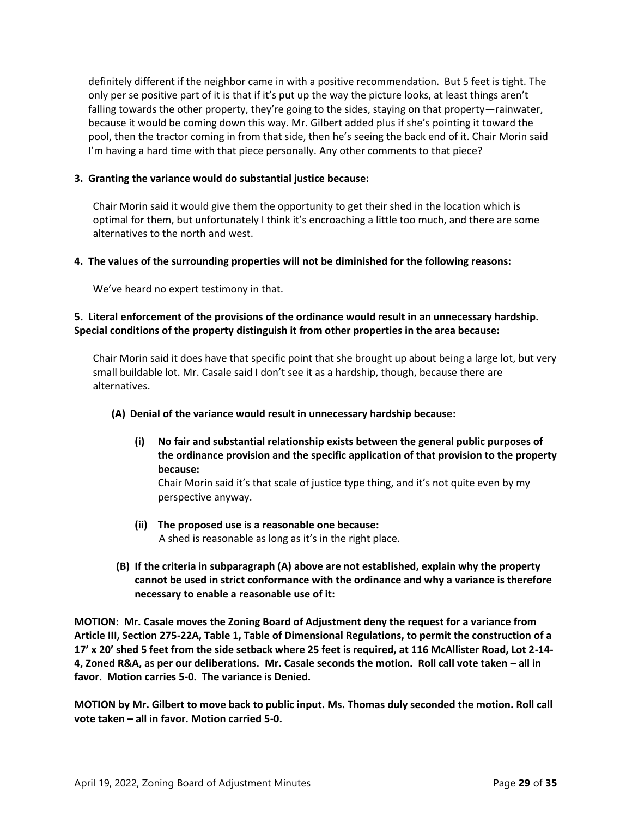definitely different if the neighbor came in with a positive recommendation. But 5 feet is tight. The only per se positive part of it is that if it's put up the way the picture looks, at least things aren't falling towards the other property, they're going to the sides, staying on that property—rainwater, because it would be coming down this way. Mr. Gilbert added plus if she's pointing it toward the pool, then the tractor coming in from that side, then he's seeing the back end of it. Chair Morin said I'm having a hard time with that piece personally. Any other comments to that piece?

# **3. Granting the variance would do substantial justice because:**

Chair Morin said it would give them the opportunity to get their shed in the location which is optimal for them, but unfortunately I think it's encroaching a little too much, and there are some alternatives to the north and west.

# **4. The values of the surrounding properties will not be diminished for the following reasons:**

We've heard no expert testimony in that.

# **5. Literal enforcement of the provisions of the ordinance would result in an unnecessary hardship. Special conditions of the property distinguish it from other properties in the area because:**

Chair Morin said it does have that specific point that she brought up about being a large lot, but very small buildable lot. Mr. Casale said I don't see it as a hardship, though, because there are alternatives.

# **(A) Denial of the variance would result in unnecessary hardship because:**

**(i) No fair and substantial relationship exists between the general public purposes of the ordinance provision and the specific application of that provision to the property because:**

Chair Morin said it's that scale of justice type thing, and it's not quite even by my perspective anyway.

- **(ii) The proposed use is a reasonable one because:** A shed is reasonable as long as it's in the right place.
- **(B) If the criteria in subparagraph (A) above are not established, explain why the property cannot be used in strict conformance with the ordinance and why a variance is therefore necessary to enable a reasonable use of it:**

**MOTION: Mr. Casale moves the Zoning Board of Adjustment deny the request for a variance from Article III, Section 275-22A, Table 1, Table of Dimensional Regulations, to permit the construction of a 17' x 20' shed 5 feet from the side setback where 25 feet is required, at 116 McAllister Road, Lot 2-14- 4, Zoned R&A, as per our deliberations. Mr. Casale seconds the motion. Roll call vote taken – all in favor. Motion carries 5-0. The variance is Denied.** 

**MOTION by Mr. Gilbert to move back to public input. Ms. Thomas duly seconded the motion. Roll call vote taken – all in favor. Motion carried 5-0.**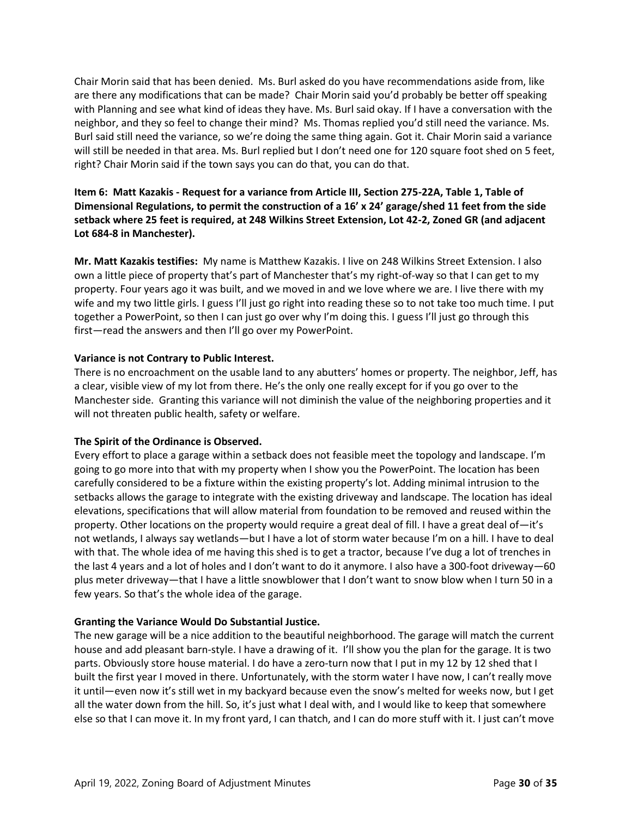Chair Morin said that has been denied. Ms. Burl asked do you have recommendations aside from, like are there any modifications that can be made? Chair Morin said you'd probably be better off speaking with Planning and see what kind of ideas they have. Ms. Burl said okay. If I have a conversation with the neighbor, and they so feel to change their mind? Ms. Thomas replied you'd still need the variance. Ms. Burl said still need the variance, so we're doing the same thing again. Got it. Chair Morin said a variance will still be needed in that area. Ms. Burl replied but I don't need one for 120 square foot shed on 5 feet, right? Chair Morin said if the town says you can do that, you can do that.

# **Item 6: Matt Kazakis - Request for a variance from Article III, Section 275-22A, Table 1, Table of Dimensional Regulations, to permit the construction of a 16' x 24' garage/shed 11 feet from the side setback where 25 feet is required, at 248 Wilkins Street Extension, Lot 42-2, Zoned GR (and adjacent Lot 684-8 in Manchester).**

**Mr. Matt Kazakis testifies:** My name is Matthew Kazakis. I live on 248 Wilkins Street Extension. I also own a little piece of property that's part of Manchester that's my right-of-way so that I can get to my property. Four years ago it was built, and we moved in and we love where we are. I live there with my wife and my two little girls. I guess I'll just go right into reading these so to not take too much time. I put together a PowerPoint, so then I can just go over why I'm doing this. I guess I'll just go through this first—read the answers and then I'll go over my PowerPoint.

# **Variance is not Contrary to Public Interest.**

There is no encroachment on the usable land to any abutters' homes or property. The neighbor, Jeff, has a clear, visible view of my lot from there. He's the only one really except for if you go over to the Manchester side. Granting this variance will not diminish the value of the neighboring properties and it will not threaten public health, safety or welfare.

# **The Spirit of the Ordinance is Observed.**

Every effort to place a garage within a setback does not feasible meet the topology and landscape. I'm going to go more into that with my property when I show you the PowerPoint. The location has been carefully considered to be a fixture within the existing property's lot. Adding minimal intrusion to the setbacks allows the garage to integrate with the existing driveway and landscape. The location has ideal elevations, specifications that will allow material from foundation to be removed and reused within the property. Other locations on the property would require a great deal of fill. I have a great deal of—it's not wetlands, I always say wetlands—but I have a lot of storm water because I'm on a hill. I have to deal with that. The whole idea of me having this shed is to get a tractor, because I've dug a lot of trenches in the last 4 years and a lot of holes and I don't want to do it anymore. I also have a 300-foot driveway—60 plus meter driveway—that I have a little snowblower that I don't want to snow blow when I turn 50 in a few years. So that's the whole idea of the garage.

# **Granting the Variance Would Do Substantial Justice.**

The new garage will be a nice addition to the beautiful neighborhood. The garage will match the current house and add pleasant barn-style. I have a drawing of it. I'll show you the plan for the garage. It is two parts. Obviously store house material. I do have a zero-turn now that I put in my 12 by 12 shed that I built the first year I moved in there. Unfortunately, with the storm water I have now, I can't really move it until—even now it's still wet in my backyard because even the snow's melted for weeks now, but I get all the water down from the hill. So, it's just what I deal with, and I would like to keep that somewhere else so that I can move it. In my front yard, I can thatch, and I can do more stuff with it. I just can't move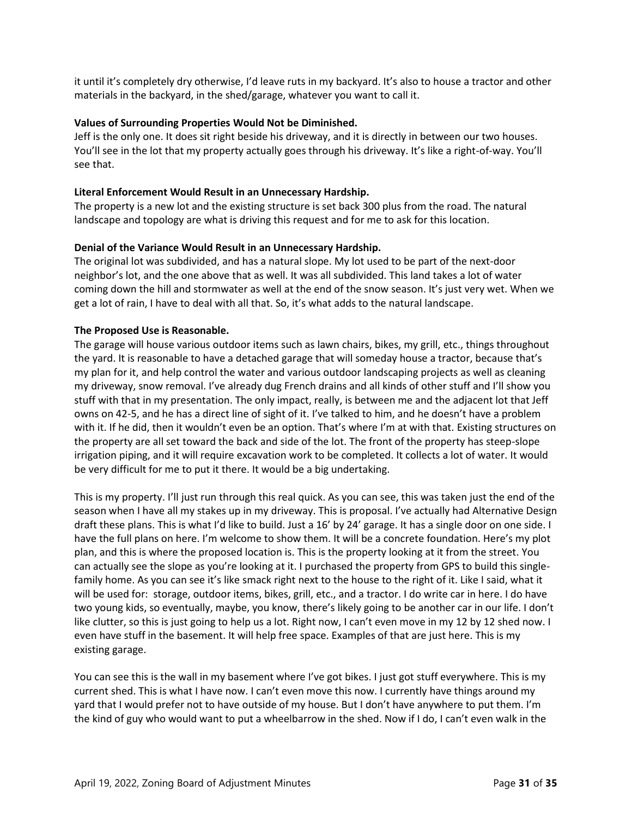it until it's completely dry otherwise, I'd leave ruts in my backyard. It's also to house a tractor and other materials in the backyard, in the shed/garage, whatever you want to call it.

# **Values of Surrounding Properties Would Not be Diminished.**

Jeff is the only one. It does sit right beside his driveway, and it is directly in between our two houses. You'll see in the lot that my property actually goes through his driveway. It's like a right-of-way. You'll see that.

# **Literal Enforcement Would Result in an Unnecessary Hardship.**

The property is a new lot and the existing structure is set back 300 plus from the road. The natural landscape and topology are what is driving this request and for me to ask for this location.

# **Denial of the Variance Would Result in an Unnecessary Hardship.**

The original lot was subdivided, and has a natural slope. My lot used to be part of the next-door neighbor's lot, and the one above that as well. It was all subdivided. This land takes a lot of water coming down the hill and stormwater as well at the end of the snow season. It's just very wet. When we get a lot of rain, I have to deal with all that. So, it's what adds to the natural landscape.

# **The Proposed Use is Reasonable.**

The garage will house various outdoor items such as lawn chairs, bikes, my grill, etc., things throughout the yard. It is reasonable to have a detached garage that will someday house a tractor, because that's my plan for it, and help control the water and various outdoor landscaping projects as well as cleaning my driveway, snow removal. I've already dug French drains and all kinds of other stuff and I'll show you stuff with that in my presentation. The only impact, really, is between me and the adjacent lot that Jeff owns on 42-5, and he has a direct line of sight of it. I've talked to him, and he doesn't have a problem with it. If he did, then it wouldn't even be an option. That's where I'm at with that. Existing structures on the property are all set toward the back and side of the lot. The front of the property has steep-slope irrigation piping, and it will require excavation work to be completed. It collects a lot of water. It would be very difficult for me to put it there. It would be a big undertaking.

This is my property. I'll just run through this real quick. As you can see, this was taken just the end of the season when I have all my stakes up in my driveway. This is proposal. I've actually had Alternative Design draft these plans. This is what I'd like to build. Just a 16' by 24' garage. It has a single door on one side. I have the full plans on here. I'm welcome to show them. It will be a concrete foundation. Here's my plot plan, and this is where the proposed location is. This is the property looking at it from the street. You can actually see the slope as you're looking at it. I purchased the property from GPS to build this singlefamily home. As you can see it's like smack right next to the house to the right of it. Like I said, what it will be used for: storage, outdoor items, bikes, grill, etc., and a tractor. I do write car in here. I do have two young kids, so eventually, maybe, you know, there's likely going to be another car in our life. I don't like clutter, so this is just going to help us a lot. Right now, I can't even move in my 12 by 12 shed now. I even have stuff in the basement. It will help free space. Examples of that are just here. This is my existing garage.

You can see this is the wall in my basement where I've got bikes. I just got stuff everywhere. This is my current shed. This is what I have now. I can't even move this now. I currently have things around my yard that I would prefer not to have outside of my house. But I don't have anywhere to put them. I'm the kind of guy who would want to put a wheelbarrow in the shed. Now if I do, I can't even walk in the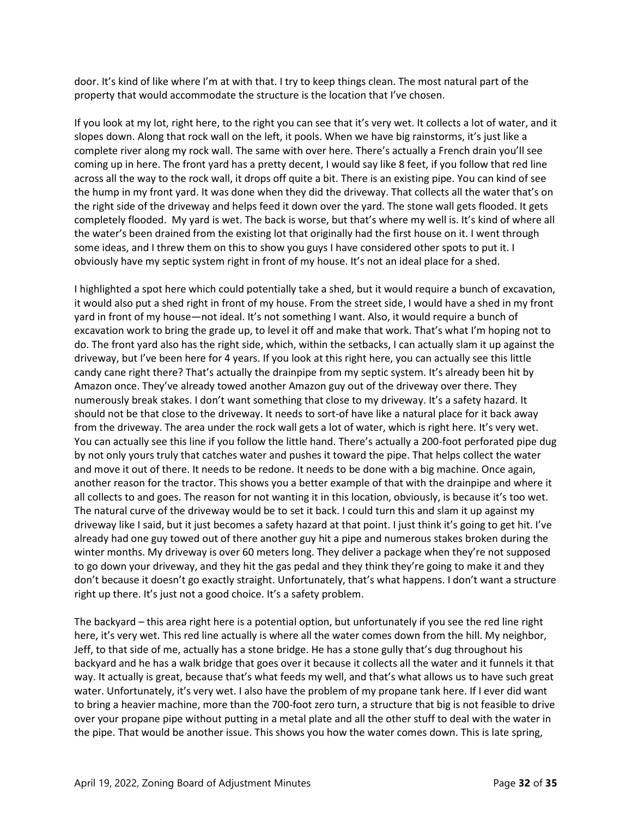door. It's kind of like where I'm at with that. I try to keep things clean. The most natural part of the property that would accommodate the structure is the location that I've chosen.

If you look at my lot, right here, to the right you can see that it's very wet. It collects a lot of water, and it slopes down. Along that rock wall on the left, it pools. When we have big rainstorms, it's just like a complete river along my rock wall. The same with over here. There's actually a French drain you'll see coming up in here. The front yard has a pretty decent, I would say like 8 feet, if you follow that red line across all the way to the rock wall, it drops off quite a bit. There is an existing pipe. You can kind of see the hump in my front yard. It was done when they did the driveway. That collects all the water that's on the right side of the driveway and helps feed it down over the yard. The stone wall gets flooded. It gets completely flooded. My yard is wet. The back is worse, but that's where my well is. It's kind of where all the water's been drained from the existing lot that originally had the first house on it. I went through some ideas, and I threw them on this to show you guys I have considered other spots to put it. I obviously have my septic system right in front of my house. It's not an ideal place for a shed.

I highlighted a spot here which could potentially take a shed, but it would require a bunch of excavation, it would also put a shed right in front of my house. From the street side, I would have a shed in my front yard in front of my house—not ideal. It's not something I want. Also, it would require a bunch of excavation work to bring the grade up, to level it off and make that work. That's what I'm hoping not to do. The front yard also has the right side, which, within the setbacks, I can actually slam it up against the driveway, but I've been here for 4 years. If you look at this right here, you can actually see this little candy cane right there? That's actually the drainpipe from my septic system. It's already been hit by Amazon once. They've already towed another Amazon guy out of the driveway over there. They numerously break stakes. I don't want something that close to my driveway. It's a safety hazard. It should not be that close to the driveway. It needs to sort-of have like a natural place for it back away from the driveway. The area under the rock wall gets a lot of water, which is right here. It's very wet. You can actually see this line if you follow the little hand. There's actually a 200-foot perforated pipe dug by not only yours truly that catches water and pushes it toward the pipe. That helps collect the water and move it out of there. It needs to be redone. It needs to be done with a big machine. Once again, another reason for the tractor. This shows you a better example of that with the drainpipe and where it all collects to and goes. The reason for not wanting it in this location, obviously, is because it's too wet. The natural curve of the driveway would be to set it back. I could turn this and slam it up against my driveway like I said, but it just becomes a safety hazard at that point. I just think it's going to get hit. I've already had one guy towed out of there another guy hit a pipe and numerous stakes broken during the winter months. My driveway is over 60 meters long. They deliver a package when they're not supposed to go down your driveway, and they hit the gas pedal and they think they're going to make it and they don't because it doesn't go exactly straight. Unfortunately, that's what happens. I don't want a structure right up there. It's just not a good choice. It's a safety problem.

The backyard – this area right here is a potential option, but unfortunately if you see the red line right here, it's very wet. This red line actually is where all the water comes down from the hill. My neighbor, Jeff, to that side of me, actually has a stone bridge. He has a stone gully that's dug throughout his backyard and he has a walk bridge that goes over it because it collects all the water and it funnels it that way. It actually is great, because that's what feeds my well, and that's what allows us to have such great water. Unfortunately, it's very wet. I also have the problem of my propane tank here. If I ever did want to bring a heavier machine, more than the 700-foot zero turn, a structure that big is not feasible to drive over your propane pipe without putting in a metal plate and all the other stuff to deal with the water in the pipe. That would be another issue. This shows you how the water comes down. This is late spring,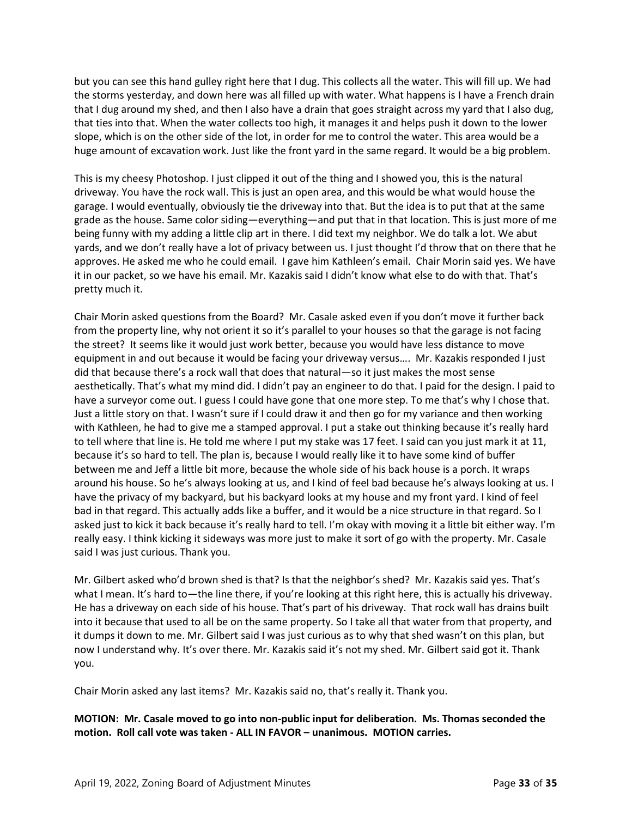but you can see this hand gulley right here that I dug. This collects all the water. This will fill up. We had the storms yesterday, and down here was all filled up with water. What happens is I have a French drain that I dug around my shed, and then I also have a drain that goes straight across my yard that I also dug, that ties into that. When the water collects too high, it manages it and helps push it down to the lower slope, which is on the other side of the lot, in order for me to control the water. This area would be a huge amount of excavation work. Just like the front yard in the same regard. It would be a big problem.

This is my cheesy Photoshop. I just clipped it out of the thing and I showed you, this is the natural driveway. You have the rock wall. This is just an open area, and this would be what would house the garage. I would eventually, obviously tie the driveway into that. But the idea is to put that at the same grade as the house. Same color siding—everything—and put that in that location. This is just more of me being funny with my adding a little clip art in there. I did text my neighbor. We do talk a lot. We abut yards, and we don't really have a lot of privacy between us. I just thought I'd throw that on there that he approves. He asked me who he could email. I gave him Kathleen's email. Chair Morin said yes. We have it in our packet, so we have his email. Mr. Kazakis said I didn't know what else to do with that. That's pretty much it.

Chair Morin asked questions from the Board? Mr. Casale asked even if you don't move it further back from the property line, why not orient it so it's parallel to your houses so that the garage is not facing the street? It seems like it would just work better, because you would have less distance to move equipment in and out because it would be facing your driveway versus…. Mr. Kazakis responded I just did that because there's a rock wall that does that natural—so it just makes the most sense aesthetically. That's what my mind did. I didn't pay an engineer to do that. I paid for the design. I paid to have a surveyor come out. I guess I could have gone that one more step. To me that's why I chose that. Just a little story on that. I wasn't sure if I could draw it and then go for my variance and then working with Kathleen, he had to give me a stamped approval. I put a stake out thinking because it's really hard to tell where that line is. He told me where I put my stake was 17 feet. I said can you just mark it at 11, because it's so hard to tell. The plan is, because I would really like it to have some kind of buffer between me and Jeff a little bit more, because the whole side of his back house is a porch. It wraps around his house. So he's always looking at us, and I kind of feel bad because he's always looking at us. I have the privacy of my backyard, but his backyard looks at my house and my front yard. I kind of feel bad in that regard. This actually adds like a buffer, and it would be a nice structure in that regard. So I asked just to kick it back because it's really hard to tell. I'm okay with moving it a little bit either way. I'm really easy. I think kicking it sideways was more just to make it sort of go with the property. Mr. Casale said I was just curious. Thank you.

Mr. Gilbert asked who'd brown shed is that? Is that the neighbor's shed? Mr. Kazakis said yes. That's what I mean. It's hard to—the line there, if you're looking at this right here, this is actually his driveway. He has a driveway on each side of his house. That's part of his driveway. That rock wall has drains built into it because that used to all be on the same property. So I take all that water from that property, and it dumps it down to me. Mr. Gilbert said I was just curious as to why that shed wasn't on this plan, but now I understand why. It's over there. Mr. Kazakis said it's not my shed. Mr. Gilbert said got it. Thank you.

Chair Morin asked any last items? Mr. Kazakis said no, that's really it. Thank you.

**MOTION: Mr. Casale moved to go into non-public input for deliberation. Ms. Thomas seconded the motion. Roll call vote was taken - ALL IN FAVOR – unanimous. MOTION carries.**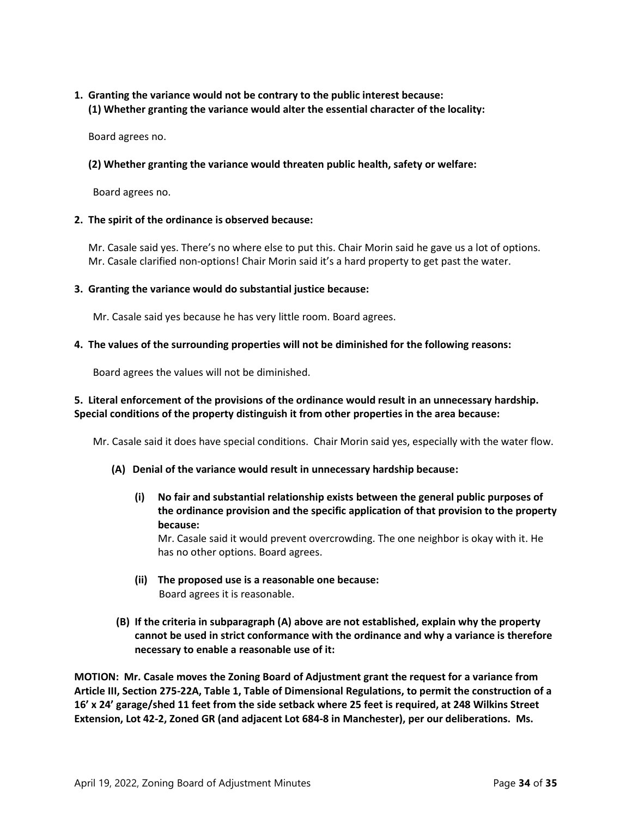# **1. Granting the variance would not be contrary to the public interest because: (1) Whether granting the variance would alter the essential character of the locality:**

Board agrees no.

# **(2) Whether granting the variance would threaten public health, safety or welfare:**

Board agrees no.

# **2. The spirit of the ordinance is observed because:**

Mr. Casale said yes. There's no where else to put this. Chair Morin said he gave us a lot of options. Mr. Casale clarified non-options! Chair Morin said it's a hard property to get past the water.

# **3. Granting the variance would do substantial justice because:**

Mr. Casale said yes because he has very little room. Board agrees.

# **4. The values of the surrounding properties will not be diminished for the following reasons:**

Board agrees the values will not be diminished.

# **5. Literal enforcement of the provisions of the ordinance would result in an unnecessary hardship. Special conditions of the property distinguish it from other properties in the area because:**

Mr. Casale said it does have special conditions. Chair Morin said yes, especially with the water flow.

- **(A) Denial of the variance would result in unnecessary hardship because:**
	- **(i) No fair and substantial relationship exists between the general public purposes of the ordinance provision and the specific application of that provision to the property because:**

Mr. Casale said it would prevent overcrowding. The one neighbor is okay with it. He has no other options. Board agrees.

- **(ii) The proposed use is a reasonable one because:** Board agrees it is reasonable.
- **(B) If the criteria in subparagraph (A) above are not established, explain why the property cannot be used in strict conformance with the ordinance and why a variance is therefore necessary to enable a reasonable use of it:**

**MOTION: Mr. Casale moves the Zoning Board of Adjustment grant the request for a variance from Article III, Section 275-22A, Table 1, Table of Dimensional Regulations, to permit the construction of a 16' x 24' garage/shed 11 feet from the side setback where 25 feet is required, at 248 Wilkins Street Extension, Lot 42-2, Zoned GR (and adjacent Lot 684-8 in Manchester), per our deliberations. Ms.**